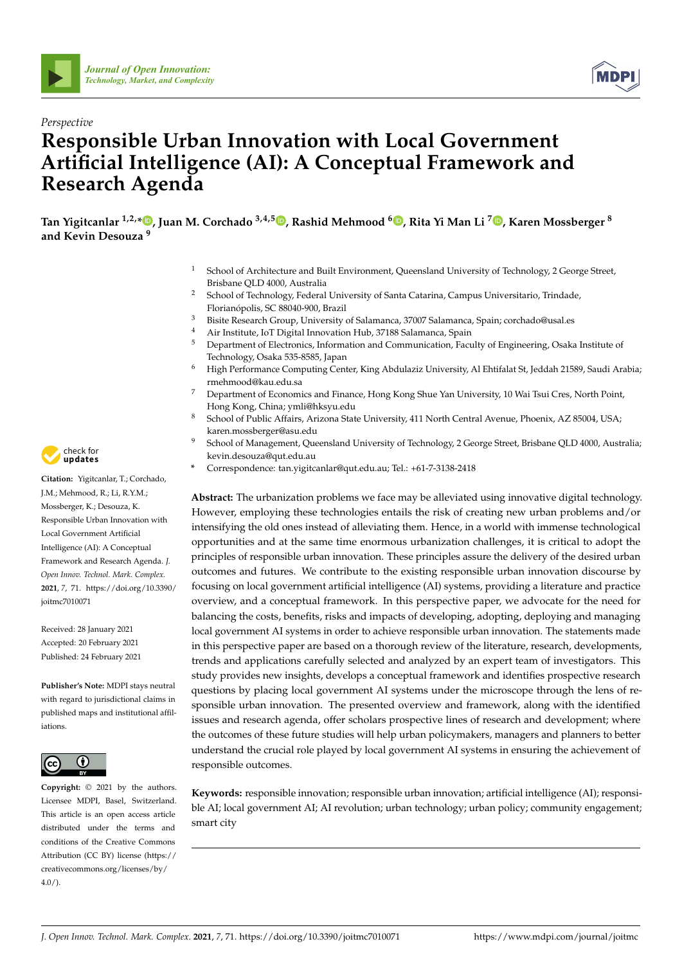



# *Perspective* **Responsible Urban Innovation with Local Government Artificial Intelligence (AI): A Conceptual Framework and Research Agenda**

**Tan Yigitcanlar 1,2,[\\*](https://orcid.org/0000-0001-7262-7118) , Juan M. Corchado 3,4,5 [,](https://orcid.org/0000-0002-2829-1829) Rashid Mehmood <sup>6</sup> [,](https://orcid.org/0000-0002-4997-5322) Rita Yi Man Li <sup>7</sup> [,](https://orcid.org/0000-0002-4582-8659) Karen Mossberger <sup>8</sup> and Kevin Desouza <sup>9</sup>**

- <sup>1</sup> School of Architecture and Built Environment, Queensland University of Technology, 2 George Street, Brisbane QLD 4000, Australia
- <sup>2</sup> School of Technology, Federal University of Santa Catarina, Campus Universitario, Trindade, Florianópolis, SC 88040-900, Brazil
- <sup>3</sup> Bisite Research Group, University of Salamanca, 37007 Salamanca, Spain; corchado@usal.es
- <sup>4</sup> Air Institute, IoT Digital Innovation Hub, 37188 Salamanca, Spain
- <sup>5</sup> Department of Electronics, Information and Communication, Faculty of Engineering, Osaka Institute of Technology, Osaka 535-8585, Japan
- <sup>6</sup> High Performance Computing Center, King Abdulaziz University, Al Ehtifalat St, Jeddah 21589, Saudi Arabia; rmehmood@kau.edu.sa
- <sup>7</sup> Department of Economics and Finance, Hong Kong Shue Yan University, 10 Wai Tsui Cres, North Point, Hong Kong, China; ymli@hksyu.edu
- <sup>8</sup> School of Public Affairs, Arizona State University, 411 North Central Avenue, Phoenix, AZ 85004, USA; karen.mossberger@asu.edu
- <sup>9</sup> School of Management, Queensland University of Technology, 2 George Street, Brisbane QLD 4000, Australia; kevin.desouza@qut.edu.au
- **\*** Correspondence: tan.yigitcanlar@qut.edu.au; Tel.: +61-7-3138-2418

**Abstract:** The urbanization problems we face may be alleviated using innovative digital technology. However, employing these technologies entails the risk of creating new urban problems and/or intensifying the old ones instead of alleviating them. Hence, in a world with immense technological opportunities and at the same time enormous urbanization challenges, it is critical to adopt the principles of responsible urban innovation. These principles assure the delivery of the desired urban outcomes and futures. We contribute to the existing responsible urban innovation discourse by focusing on local government artificial intelligence (AI) systems, providing a literature and practice overview, and a conceptual framework. In this perspective paper, we advocate for the need for balancing the costs, benefits, risks and impacts of developing, adopting, deploying and managing local government AI systems in order to achieve responsible urban innovation. The statements made in this perspective paper are based on a thorough review of the literature, research, developments, trends and applications carefully selected and analyzed by an expert team of investigators. This study provides new insights, develops a conceptual framework and identifies prospective research questions by placing local government AI systems under the microscope through the lens of responsible urban innovation. The presented overview and framework, along with the identified issues and research agenda, offer scholars prospective lines of research and development; where the outcomes of these future studies will help urban policymakers, managers and planners to better understand the crucial role played by local government AI systems in ensuring the achievement of responsible outcomes.

**Keywords:** responsible innovation; responsible urban innovation; artificial intelligence (AI); responsible AI; local government AI; AI revolution; urban technology; urban policy; community engagement; smart city



**Citation:** Yigitcanlar, T.; Corchado, J.M.; Mehmood, R.; Li, R.Y.M.; Mossberger, K.; Desouza, K. Responsible Urban Innovation with Local Government Artificial Intelligence (AI): A Conceptual Framework and Research Agenda. *J. Open Innov. Technol. Mark. Complex.* **2021**, *7*, 71. [https://doi.org/10.3390/](https://doi.org/10.3390/joitmc7010071) [joitmc7010071](https://doi.org/10.3390/joitmc7010071)

Received: 28 January 2021 Accepted: 20 February 2021 Published: 24 February 2021

**Publisher's Note:** MDPI stays neutral with regard to jurisdictional claims in published maps and institutional affiliations.



**Copyright:** © 2021 by the authors. Licensee MDPI, Basel, Switzerland. This article is an open access article distributed under the terms and conditions of the Creative Commons Attribution (CC BY) license (https:/[/](https://creativecommons.org/licenses/by/4.0/) [creativecommons.org/licenses/by/](https://creativecommons.org/licenses/by/4.0/)  $4.0/$ ).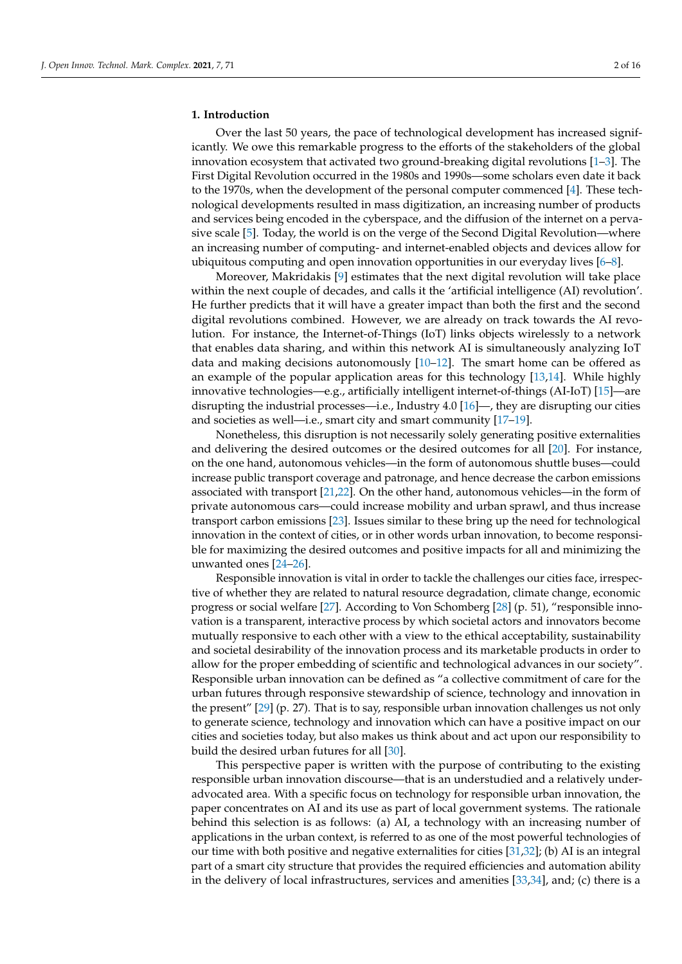#### **1. Introduction**

Over the last 50 years, the pace of technological development has increased significantly. We owe this remarkable progress to the efforts of the stakeholders of the global innovation ecosystem that activated two ground-breaking digital revolutions [\[1](#page-10-0)[–3\]](#page-10-1). The First Digital Revolution occurred in the 1980s and 1990s—some scholars even date it back to the 1970s, when the development of the personal computer commenced [\[4\]](#page-10-2). These technological developments resulted in mass digitization, an increasing number of products and services being encoded in the cyberspace, and the diffusion of the internet on a pervasive scale [\[5\]](#page-10-3). Today, the world is on the verge of the Second Digital Revolution—where an increasing number of computing- and internet-enabled objects and devices allow for ubiquitous computing and open innovation opportunities in our everyday lives [\[6–](#page-10-4)[8\]](#page-10-5).

Moreover, Makridakis [\[9\]](#page-10-6) estimates that the next digital revolution will take place within the next couple of decades, and calls it the 'artificial intelligence (AI) revolution'. He further predicts that it will have a greater impact than both the first and the second digital revolutions combined. However, we are already on track towards the AI revolution. For instance, the Internet-of-Things (IoT) links objects wirelessly to a network that enables data sharing, and within this network AI is simultaneously analyzing IoT data and making decisions autonomously  $[10-12]$  $[10-12]$ . The smart home can be offered as an example of the popular application areas for this technology [\[13,](#page-10-9)[14\]](#page-10-10). While highly innovative technologies—e.g., artificially intelligent internet-of-things (AI-IoT) [\[15\]](#page-10-11)—are disrupting the industrial processes—i.e., Industry 4.0 [\[16\]](#page-10-12)—, they are disrupting our cities and societies as well—i.e., smart city and smart community [\[17](#page-10-13)[–19\]](#page-10-14).

Nonetheless, this disruption is not necessarily solely generating positive externalities and delivering the desired outcomes or the desired outcomes for all [\[20\]](#page-10-15). For instance, on the one hand, autonomous vehicles—in the form of autonomous shuttle buses—could increase public transport coverage and patronage, and hence decrease the carbon emissions associated with transport [\[21,](#page-10-16)[22\]](#page-10-17). On the other hand, autonomous vehicles—in the form of private autonomous cars—could increase mobility and urban sprawl, and thus increase transport carbon emissions [\[23\]](#page-10-18). Issues similar to these bring up the need for technological innovation in the context of cities, or in other words urban innovation, to become responsible for maximizing the desired outcomes and positive impacts for all and minimizing the unwanted ones [\[24–](#page-10-19)[26\]](#page-10-20).

Responsible innovation is vital in order to tackle the challenges our cities face, irrespective of whether they are related to natural resource degradation, climate change, economic progress or social welfare [\[27\]](#page-10-21). According to Von Schomberg [\[28\]](#page-10-22) (p. 51), "responsible innovation is a transparent, interactive process by which societal actors and innovators become mutually responsive to each other with a view to the ethical acceptability, sustainability and societal desirability of the innovation process and its marketable products in order to allow for the proper embedding of scientific and technological advances in our society". Responsible urban innovation can be defined as "a collective commitment of care for the urban futures through responsive stewardship of science, technology and innovation in the present" [\[29\]](#page-10-23) (p. 27). That is to say, responsible urban innovation challenges us not only to generate science, technology and innovation which can have a positive impact on our cities and societies today, but also makes us think about and act upon our responsibility to build the desired urban futures for all [\[30\]](#page-10-24).

This perspective paper is written with the purpose of contributing to the existing responsible urban innovation discourse—that is an understudied and a relatively underadvocated area. With a specific focus on technology for responsible urban innovation, the paper concentrates on AI and its use as part of local government systems. The rationale behind this selection is as follows: (a) AI, a technology with an increasing number of applications in the urban context, is referred to as one of the most powerful technologies of our time with both positive and negative externalities for cities [\[31,](#page-10-25)[32\]](#page-10-26); (b) AI is an integral part of a smart city structure that provides the required efficiencies and automation ability in the delivery of local infrastructures, services and amenities [\[33,](#page-11-0)[34\]](#page-11-1), and; (c) there is a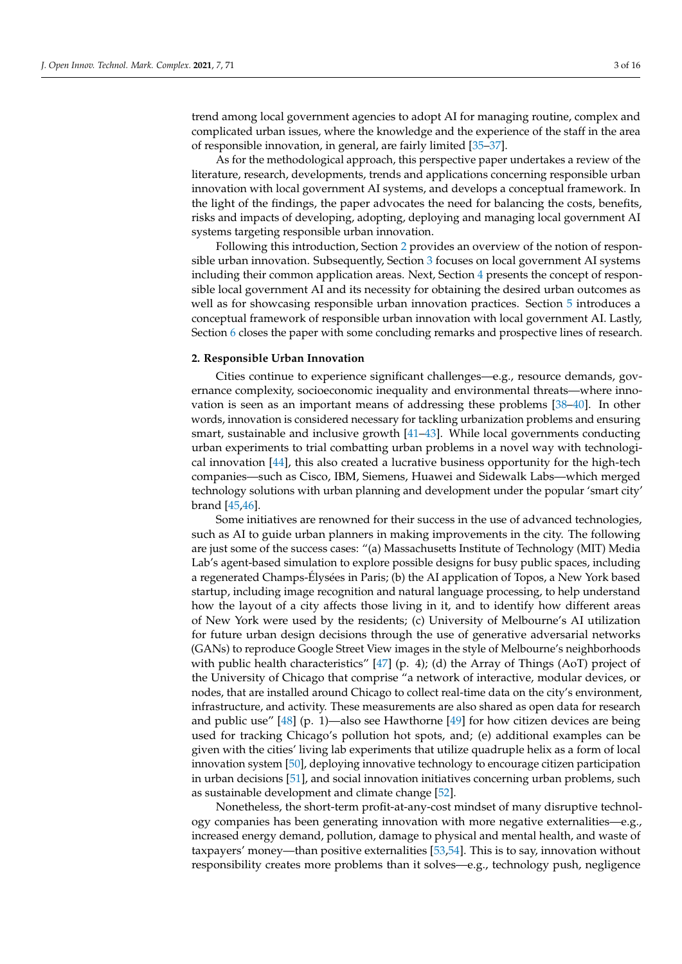trend among local government agencies to adopt AI for managing routine, complex and complicated urban issues, where the knowledge and the experience of the staff in the area of responsible innovation, in general, are fairly limited [\[35](#page-11-2)[–37\]](#page-11-3).

As for the methodological approach, this perspective paper undertakes a review of the literature, research, developments, trends and applications concerning responsible urban innovation with local government AI systems, and develops a conceptual framework. In the light of the findings, the paper advocates the need for balancing the costs, benefits, risks and impacts of developing, adopting, deploying and managing local government AI systems targeting responsible urban innovation.

Following this introduction, Section [2](#page-2-0) provides an overview of the notion of responsible urban innovation. Subsequently, Section [3](#page-3-0) focuses on local government AI systems including their common application areas. Next, Section [4](#page-5-0) presents the concept of responsible local government AI and its necessity for obtaining the desired urban outcomes as well as for showcasing responsible urban innovation practices. Section [5](#page-6-0) introduces a conceptual framework of responsible urban innovation with local government AI. Lastly, Section [6](#page-8-0) closes the paper with some concluding remarks and prospective lines of research.

### <span id="page-2-0"></span>**2. Responsible Urban Innovation**

Cities continue to experience significant challenges—e.g., resource demands, governance complexity, socioeconomic inequality and environmental threats—where innovation is seen as an important means of addressing these problems [\[38](#page-11-4)[–40\]](#page-11-5). In other words, innovation is considered necessary for tackling urbanization problems and ensuring smart, sustainable and inclusive growth [\[41–](#page-11-6)[43\]](#page-11-7). While local governments conducting urban experiments to trial combatting urban problems in a novel way with technological innovation [\[44\]](#page-11-8), this also created a lucrative business opportunity for the high-tech companies—such as Cisco, IBM, Siemens, Huawei and Sidewalk Labs—which merged technology solutions with urban planning and development under the popular 'smart city' brand [\[45](#page-11-9)[,46\]](#page-11-10).

Some initiatives are renowned for their success in the use of advanced technologies, such as AI to guide urban planners in making improvements in the city. The following are just some of the success cases: "(a) Massachusetts Institute of Technology (MIT) Media Lab's agent-based simulation to explore possible designs for busy public spaces, including a regenerated Champs-Élysées in Paris; (b) the AI application of Topos, a New York based startup, including image recognition and natural language processing, to help understand how the layout of a city affects those living in it, and to identify how different areas of New York were used by the residents; (c) University of Melbourne's AI utilization for future urban design decisions through the use of generative adversarial networks (GANs) to reproduce Google Street View images in the style of Melbourne's neighborhoods with public health characteristics"  $[47]$  (p. 4); (d) the Array of Things (AoT) project of the University of Chicago that comprise "a network of interactive, modular devices, or nodes, that are installed around Chicago to collect real-time data on the city's environment, infrastructure, and activity. These measurements are also shared as open data for research and public use" [\[48\]](#page-11-12) (p. 1)—also see Hawthorne [\[49\]](#page-11-13) for how citizen devices are being used for tracking Chicago's pollution hot spots, and; (e) additional examples can be given with the cities' living lab experiments that utilize quadruple helix as a form of local innovation system [\[50\]](#page-11-14), deploying innovative technology to encourage citizen participation in urban decisions [\[51\]](#page-11-15), and social innovation initiatives concerning urban problems, such as sustainable development and climate change [\[52\]](#page-11-16).

Nonetheless, the short-term profit-at-any-cost mindset of many disruptive technology companies has been generating innovation with more negative externalities—e.g., increased energy demand, pollution, damage to physical and mental health, and waste of taxpayers' money—than positive externalities [\[53](#page-11-17)[,54\]](#page-11-18). This is to say, innovation without responsibility creates more problems than it solves—e.g., technology push, negligence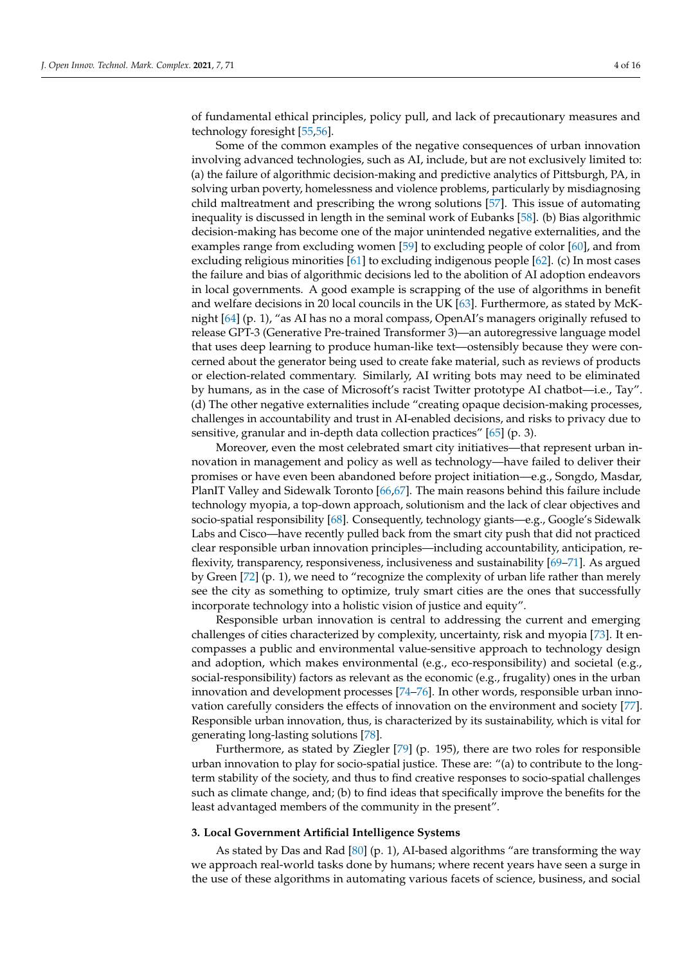of fundamental ethical principles, policy pull, and lack of precautionary measures and technology foresight [\[55](#page-11-19)[,56\]](#page-11-20).

Some of the common examples of the negative consequences of urban innovation involving advanced technologies, such as AI, include, but are not exclusively limited to: (a) the failure of algorithmic decision-making and predictive analytics of Pittsburgh, PA, in solving urban poverty, homelessness and violence problems, particularly by misdiagnosing child maltreatment and prescribing the wrong solutions [\[57\]](#page-11-21). This issue of automating inequality is discussed in length in the seminal work of Eubanks [\[58\]](#page-11-22). (b) Bias algorithmic decision-making has become one of the major unintended negative externalities, and the examples range from excluding women [\[59\]](#page-11-23) to excluding people of color [\[60\]](#page-11-24), and from excluding religious minorities [\[61\]](#page-11-25) to excluding indigenous people [\[62\]](#page-11-26). (c) In most cases the failure and bias of algorithmic decisions led to the abolition of AI adoption endeavors in local governments. A good example is scrapping of the use of algorithms in benefit and welfare decisions in 20 local councils in the UK [\[63\]](#page-11-27). Furthermore, as stated by McKnight [\[64\]](#page-12-0) (p. 1), "as AI has no a moral compass, OpenAI's managers originally refused to release GPT-3 (Generative Pre-trained Transformer 3)—an autoregressive language model that uses deep learning to produce human-like text—ostensibly because they were concerned about the generator being used to create fake material, such as reviews of products or election-related commentary. Similarly, AI writing bots may need to be eliminated by humans, as in the case of Microsoft's racist Twitter prototype AI chatbot—i.e., Tay". (d) The other negative externalities include "creating opaque decision-making processes, challenges in accountability and trust in AI-enabled decisions, and risks to privacy due to sensitive, granular and in-depth data collection practices" [\[65\]](#page-12-1) (p. 3).

Moreover, even the most celebrated smart city initiatives—that represent urban innovation in management and policy as well as technology—have failed to deliver their promises or have even been abandoned before project initiation—e.g., Songdo, Masdar, PlanIT Valley and Sidewalk Toronto [\[66,](#page-12-2)[67\]](#page-12-3). The main reasons behind this failure include technology myopia, a top-down approach, solutionism and the lack of clear objectives and socio-spatial responsibility [\[68\]](#page-12-4). Consequently, technology giants—e.g., Google's Sidewalk Labs and Cisco—have recently pulled back from the smart city push that did not practiced clear responsible urban innovation principles—including accountability, anticipation, reflexivity, transparency, responsiveness, inclusiveness and sustainability [\[69–](#page-12-5)[71\]](#page-12-6). As argued by Green [\[72\]](#page-12-7) (p. 1), we need to "recognize the complexity of urban life rather than merely see the city as something to optimize, truly smart cities are the ones that successfully incorporate technology into a holistic vision of justice and equity".

Responsible urban innovation is central to addressing the current and emerging challenges of cities characterized by complexity, uncertainty, risk and myopia [\[73\]](#page-12-8). It encompasses a public and environmental value-sensitive approach to technology design and adoption, which makes environmental (e.g., eco-responsibility) and societal (e.g., social-responsibility) factors as relevant as the economic (e.g., frugality) ones in the urban innovation and development processes [\[74–](#page-12-9)[76\]](#page-12-10). In other words, responsible urban innovation carefully considers the effects of innovation on the environment and society [\[77\]](#page-12-11). Responsible urban innovation, thus, is characterized by its sustainability, which is vital for generating long-lasting solutions [\[78\]](#page-12-12).

Furthermore, as stated by Ziegler [\[79\]](#page-12-13) (p. 195), there are two roles for responsible urban innovation to play for socio-spatial justice. These are: "(a) to contribute to the longterm stability of the society, and thus to find creative responses to socio-spatial challenges such as climate change, and; (b) to find ideas that specifically improve the benefits for the least advantaged members of the community in the present".

# <span id="page-3-0"></span>**3. Local Government Artificial Intelligence Systems**

As stated by Das and Rad [\[80\]](#page-12-14) (p. 1), AI-based algorithms "are transforming the way we approach real-world tasks done by humans; where recent years have seen a surge in the use of these algorithms in automating various facets of science, business, and social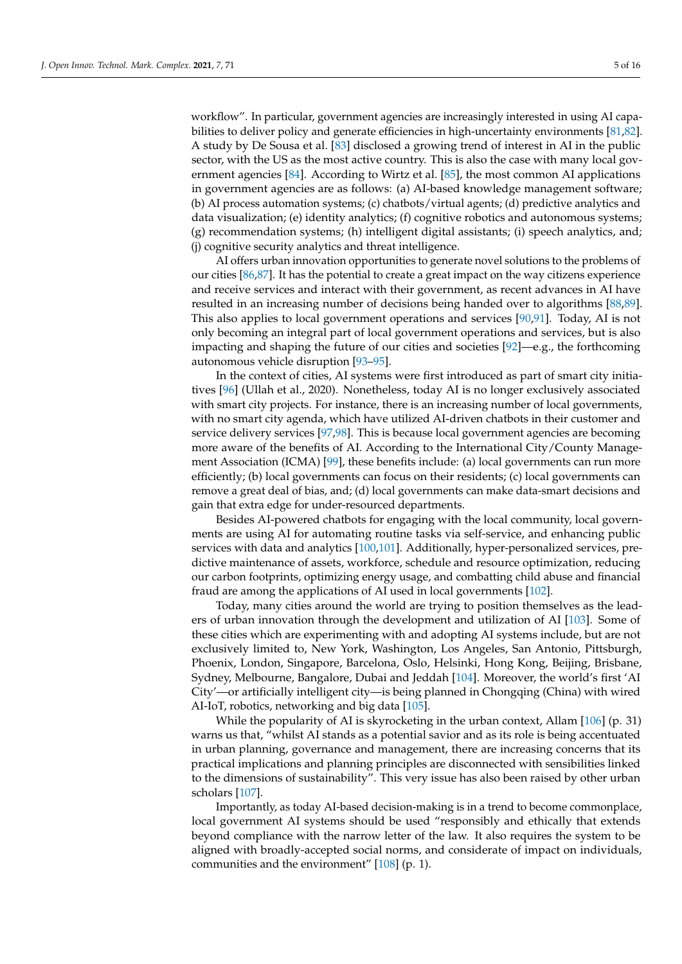workflow". In particular, government agencies are increasingly interested in using AI capabilities to deliver policy and generate efficiencies in high-uncertainty environments [\[81](#page-12-15)[,82\]](#page-12-16). A study by De Sousa et al. [\[83\]](#page-12-17) disclosed a growing trend of interest in AI in the public sector, with the US as the most active country. This is also the case with many local government agencies [\[84\]](#page-12-18). According to Wirtz et al. [\[85\]](#page-12-19), the most common AI applications in government agencies are as follows: (a) AI-based knowledge management software; (b) AI process automation systems; (c) chatbots/virtual agents; (d) predictive analytics and data visualization; (e) identity analytics; (f) cognitive robotics and autonomous systems; (g) recommendation systems; (h) intelligent digital assistants; (i) speech analytics, and; (j) cognitive security analytics and threat intelligence.

AI offers urban innovation opportunities to generate novel solutions to the problems of our cities [\[86,](#page-12-20)[87\]](#page-12-21). It has the potential to create a great impact on the way citizens experience and receive services and interact with their government, as recent advances in AI have resulted in an increasing number of decisions being handed over to algorithms [\[88,](#page-12-22)[89\]](#page-12-23). This also applies to local government operations and services [\[90,](#page-12-24)[91\]](#page-12-25). Today, AI is not only becoming an integral part of local government operations and services, but is also impacting and shaping the future of our cities and societies [\[92\]](#page-12-26)—e.g., the forthcoming autonomous vehicle disruption [\[93](#page-12-27)[–95\]](#page-12-28).

In the context of cities, AI systems were first introduced as part of smart city initiatives [\[96\]](#page-13-0) (Ullah et al., 2020). Nonetheless, today AI is no longer exclusively associated with smart city projects. For instance, there is an increasing number of local governments, with no smart city agenda, which have utilized AI-driven chatbots in their customer and service delivery services [\[97](#page-13-1)[,98\]](#page-13-2). This is because local government agencies are becoming more aware of the benefits of AI. According to the International City/County Management Association (ICMA) [\[99\]](#page-13-3), these benefits include: (a) local governments can run more efficiently; (b) local governments can focus on their residents; (c) local governments can remove a great deal of bias, and; (d) local governments can make data-smart decisions and gain that extra edge for under-resourced departments.

Besides AI-powered chatbots for engaging with the local community, local governments are using AI for automating routine tasks via self-service, and enhancing public services with data and analytics [\[100,](#page-13-4)[101\]](#page-13-5). Additionally, hyper-personalized services, predictive maintenance of assets, workforce, schedule and resource optimization, reducing our carbon footprints, optimizing energy usage, and combatting child abuse and financial fraud are among the applications of AI used in local governments [\[102\]](#page-13-6).

Today, many cities around the world are trying to position themselves as the leaders of urban innovation through the development and utilization of AI [\[103\]](#page-13-7). Some of these cities which are experimenting with and adopting AI systems include, but are not exclusively limited to, New York, Washington, Los Angeles, San Antonio, Pittsburgh, Phoenix, London, Singapore, Barcelona, Oslo, Helsinki, Hong Kong, Beijing, Brisbane, Sydney, Melbourne, Bangalore, Dubai and Jeddah [\[104\]](#page-13-8). Moreover, the world's first 'AI City'—or artificially intelligent city—is being planned in Chongqing (China) with wired AI-IoT, robotics, networking and big data [\[105\]](#page-13-9).

While the popularity of AI is skyrocketing in the urban context, Allam [\[106\]](#page-13-10) (p. 31) warns us that, "whilst AI stands as a potential savior and as its role is being accentuated in urban planning, governance and management, there are increasing concerns that its practical implications and planning principles are disconnected with sensibilities linked to the dimensions of sustainability". This very issue has also been raised by other urban scholars [\[107\]](#page-13-11).

Importantly, as today AI-based decision-making is in a trend to become commonplace, local government AI systems should be used "responsibly and ethically that extends beyond compliance with the narrow letter of the law. It also requires the system to be aligned with broadly-accepted social norms, and considerate of impact on individuals, communities and the environment" [\[108\]](#page-13-12) (p. 1).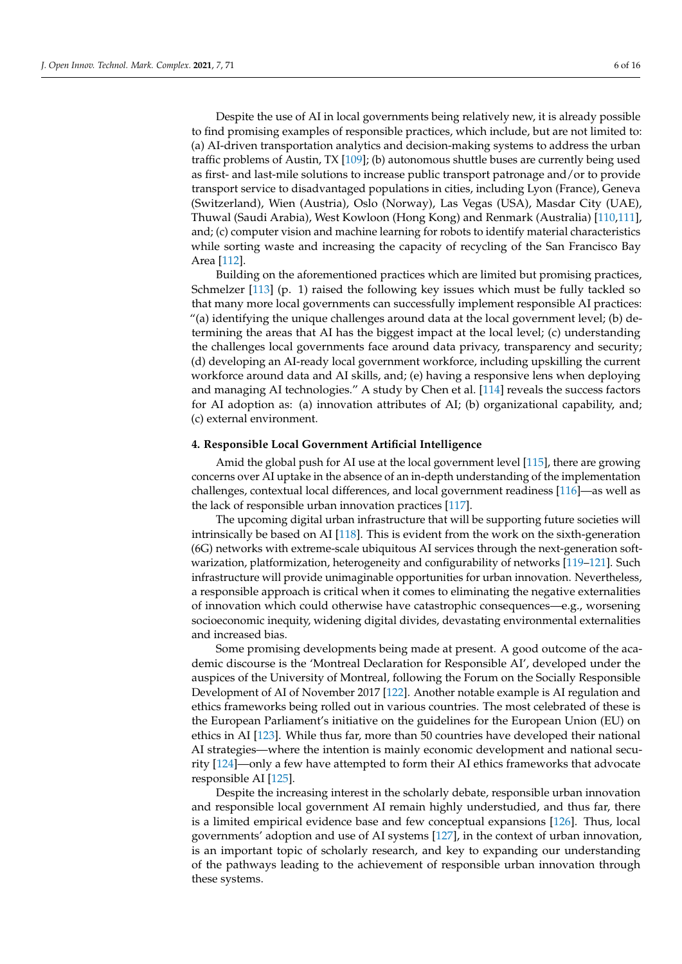Despite the use of AI in local governments being relatively new, it is already possible to find promising examples of responsible practices, which include, but are not limited to: (a) AI-driven transportation analytics and decision-making systems to address the urban traffic problems of Austin, TX [\[109\]](#page-13-13); (b) autonomous shuttle buses are currently being used as first- and last-mile solutions to increase public transport patronage and/or to provide transport service to disadvantaged populations in cities, including Lyon (France), Geneva (Switzerland), Wien (Austria), Oslo (Norway), Las Vegas (USA), Masdar City (UAE), Thuwal (Saudi Arabia), West Kowloon (Hong Kong) and Renmark (Australia) [\[110,](#page-13-14)[111\]](#page-13-15), and; (c) computer vision and machine learning for robots to identify material characteristics while sorting waste and increasing the capacity of recycling of the San Francisco Bay Area [\[112\]](#page-13-16).

Building on the aforementioned practices which are limited but promising practices, Schmelzer [\[113\]](#page-13-17) (p. 1) raised the following key issues which must be fully tackled so that many more local governments can successfully implement responsible AI practices: "(a) identifying the unique challenges around data at the local government level; (b) determining the areas that AI has the biggest impact at the local level; (c) understanding the challenges local governments face around data privacy, transparency and security; (d) developing an AI-ready local government workforce, including upskilling the current workforce around data and AI skills, and; (e) having a responsive lens when deploying and managing AI technologies." A study by Chen et al. [\[114\]](#page-13-18) reveals the success factors for AI adoption as: (a) innovation attributes of AI; (b) organizational capability, and; (c) external environment.

#### <span id="page-5-0"></span>**4. Responsible Local Government Artificial Intelligence**

Amid the global push for AI use at the local government level [\[115\]](#page-13-19), there are growing concerns over AI uptake in the absence of an in-depth understanding of the implementation challenges, contextual local differences, and local government readiness [\[116\]](#page-13-20)—as well as the lack of responsible urban innovation practices [\[117\]](#page-13-21).

The upcoming digital urban infrastructure that will be supporting future societies will intrinsically be based on AI [\[118\]](#page-13-22). This is evident from the work on the sixth-generation (6G) networks with extreme-scale ubiquitous AI services through the next-generation softwarization, platformization, heterogeneity and configurability of networks [\[119–](#page-13-23)[121\]](#page-13-24). Such infrastructure will provide unimaginable opportunities for urban innovation. Nevertheless, a responsible approach is critical when it comes to eliminating the negative externalities of innovation which could otherwise have catastrophic consequences—e.g., worsening socioeconomic inequity, widening digital divides, devastating environmental externalities and increased bias.

Some promising developments being made at present. A good outcome of the academic discourse is the 'Montreal Declaration for Responsible AI', developed under the auspices of the University of Montreal, following the Forum on the Socially Responsible Development of AI of November 2017 [\[122\]](#page-13-25). Another notable example is AI regulation and ethics frameworks being rolled out in various countries. The most celebrated of these is the European Parliament's initiative on the guidelines for the European Union (EU) on ethics in AI [\[123\]](#page-13-26). While thus far, more than 50 countries have developed their national AI strategies—where the intention is mainly economic development and national security [\[124\]](#page-13-27)—only a few have attempted to form their AI ethics frameworks that advocate responsible AI [\[125\]](#page-14-0).

Despite the increasing interest in the scholarly debate, responsible urban innovation and responsible local government AI remain highly understudied, and thus far, there is a limited empirical evidence base and few conceptual expansions [\[126\]](#page-14-1). Thus, local governments' adoption and use of AI systems [\[127\]](#page-14-2), in the context of urban innovation, is an important topic of scholarly research, and key to expanding our understanding of the pathways leading to the achievement of responsible urban innovation through these systems.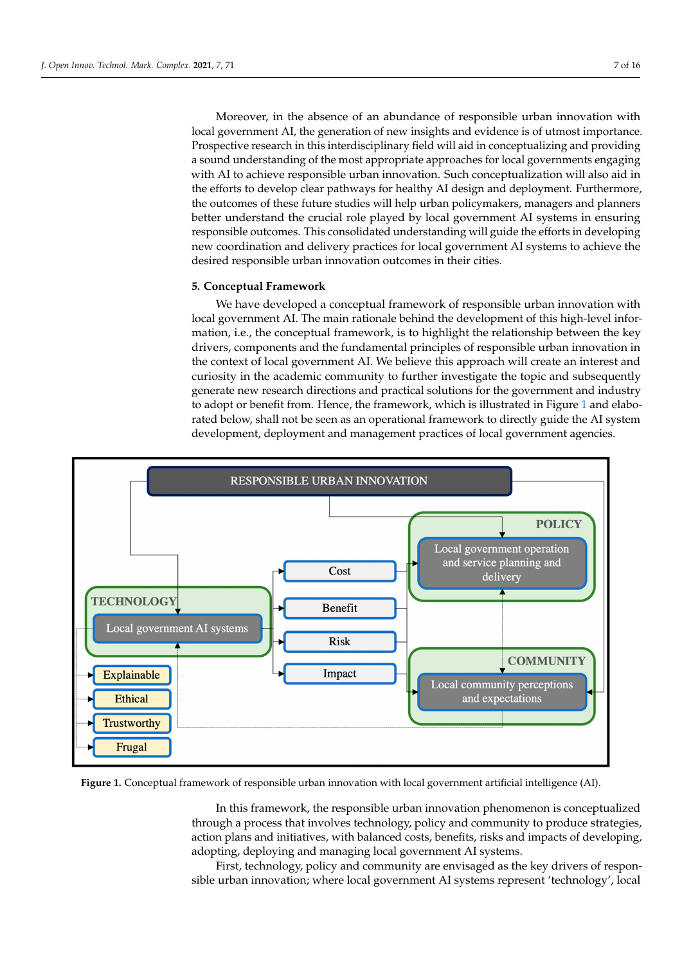Moreover, in the absence of an abundance of responsible urban innovation with local government AI, the generation of new insights and evidence is of utmost importance. Prospective research in this interdisciplinary field will aid in conceptualizing and providing a sound understanding of the most appropriate approaches for local governments engaging with AI to achieve responsible urban innovation. Such conceptualization will also aid in the efforts to develop clear pathways for healthy AI design and deployment. Furthermore, the outcomes of these future studies will help urban policymakers, managers and planners ment. Furthermore, the crucial role played by local government AI systems in ensuring<br>better understand the crucial role played by local government AI systems in ensuring responsible outcomes. This consolidated understanding will guide the efforts in developing responsible outcomes. This consolidated understanding will guide the efforts in developing new coordination and delivery practices for local government AI systems to achieve the desired responsible urban innovation outcomes in their cities. systems in ensuring responsible outcomes. This consolidated understanding will guide

# <span id="page-6-0"></span>**5. Conceptual Framework 5. Conceptual Framework**

We have developed a conceptual framework of responsible urban innovation with We have developed a conceptual framework of responsible urban innovation with local government AI. The main rationale behind the development of this high-level information, i.e., the conceptual framework, is to highlight the relationship between the key drivers, components and the fundamental principles of responsible urban innovation in drivers, components and the fundamental principles of responsible urban innovation in the context of local government AI. We believe this approach will create an interest and the context of local government AI. We believe this approach will create an interest and curiosity in the academic community to further investigate the topic and subsequently curiosity in the academic community to further investigate the topic and subsequently generate new research directions and practical solutions for the government and industry generate new research directions and practical solutions for the government and industry to adopt or benefit from. Hence, the framework, which is illustrated in Figure [1](#page-6-1) and elabo-to adopt or benefit from. Hence, the framework, which is illustrated in Figure 1 and rated below, shall not be seen as an operational framework to directly guide the AI system development, deployment and management practices of local government agencies. elaborated below, shall not be seen as an operational framework to direct limit of the AI and AI and AI and AI and AI and AI and AI and AI and AI and AI and AI and AI and AI and AI and AI and AI and AI and AI and AI and AI

<span id="page-6-1"></span>

Figure 1. Conceptual framework of responsible urban innovation with local government artificial intelligence (AI).

In this framework, the responsible urban innovation phenomenon is conceptualized through a process that involves technology, policy and community to produce strategies, action plans and initiatives, with balanced costs, benefits, risks and impacts of developing, adopting, deploying and managing local government AI systems.

First, technology, policy and community are envisaged as the key drivers of responsible urban innovation; where local government AI systems represent 'technology', local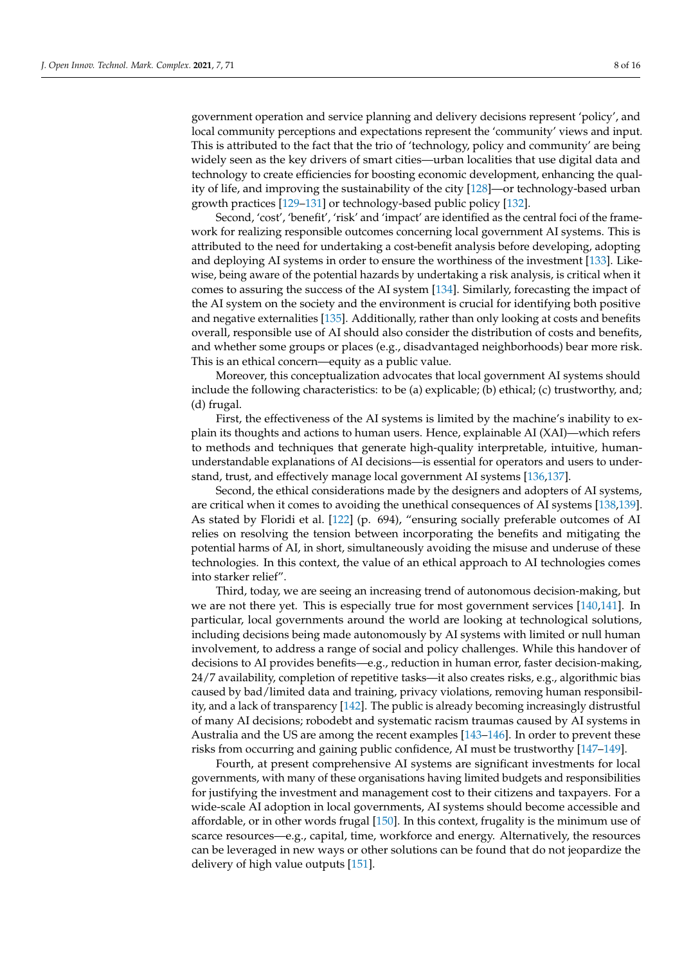government operation and service planning and delivery decisions represent 'policy', and local community perceptions and expectations represent the 'community' views and input. This is attributed to the fact that the trio of 'technology, policy and community' are being widely seen as the key drivers of smart cities—urban localities that use digital data and technology to create efficiencies for boosting economic development, enhancing the quality of life, and improving the sustainability of the city [\[128\]](#page-14-3)—or technology-based urban growth practices [\[129](#page-14-4)[–131\]](#page-14-5) or technology-based public policy [\[132\]](#page-14-6).

Second, 'cost', 'benefit', 'risk' and 'impact' are identified as the central foci of the framework for realizing responsible outcomes concerning local government AI systems. This is attributed to the need for undertaking a cost-benefit analysis before developing, adopting and deploying AI systems in order to ensure the worthiness of the investment [\[133\]](#page-14-7). Likewise, being aware of the potential hazards by undertaking a risk analysis, is critical when it comes to assuring the success of the AI system [\[134\]](#page-14-8). Similarly, forecasting the impact of the AI system on the society and the environment is crucial for identifying both positive and negative externalities [\[135\]](#page-14-9). Additionally, rather than only looking at costs and benefits overall, responsible use of AI should also consider the distribution of costs and benefits, and whether some groups or places (e.g., disadvantaged neighborhoods) bear more risk. This is an ethical concern—equity as a public value.

Moreover, this conceptualization advocates that local government AI systems should include the following characteristics: to be (a) explicable; (b) ethical; (c) trustworthy, and; (d) frugal.

First, the effectiveness of the AI systems is limited by the machine's inability to explain its thoughts and actions to human users. Hence, explainable AI (XAI)—which refers to methods and techniques that generate high-quality interpretable, intuitive, humanunderstandable explanations of AI decisions—is essential for operators and users to understand, trust, and effectively manage local government AI systems [\[136](#page-14-10)[,137\]](#page-14-11).

Second, the ethical considerations made by the designers and adopters of AI systems, are critical when it comes to avoiding the unethical consequences of AI systems [\[138](#page-14-12)[,139\]](#page-14-13). As stated by Floridi et al. [\[122\]](#page-13-25) (p. 694), "ensuring socially preferable outcomes of AI relies on resolving the tension between incorporating the benefits and mitigating the potential harms of AI, in short, simultaneously avoiding the misuse and underuse of these technologies. In this context, the value of an ethical approach to AI technologies comes into starker relief".

Third, today, we are seeing an increasing trend of autonomous decision-making, but we are not there yet. This is especially true for most government services [\[140](#page-14-14)[,141\]](#page-14-15). In particular, local governments around the world are looking at technological solutions, including decisions being made autonomously by AI systems with limited or null human involvement, to address a range of social and policy challenges. While this handover of decisions to AI provides benefits—e.g., reduction in human error, faster decision-making, 24/7 availability, completion of repetitive tasks—it also creates risks, e.g., algorithmic bias caused by bad/limited data and training, privacy violations, removing human responsibility, and a lack of transparency [\[142\]](#page-14-16). The public is already becoming increasingly distrustful of many AI decisions; robodebt and systematic racism traumas caused by AI systems in Australia and the US are among the recent examples [\[143–](#page-14-17)[146\]](#page-14-18). In order to prevent these risks from occurring and gaining public confidence, AI must be trustworthy [\[147](#page-14-19)[–149\]](#page-14-20).

Fourth, at present comprehensive AI systems are significant investments for local governments, with many of these organisations having limited budgets and responsibilities for justifying the investment and management cost to their citizens and taxpayers. For a wide-scale AI adoption in local governments, AI systems should become accessible and affordable, or in other words frugal [\[150\]](#page-14-21). In this context, frugality is the minimum use of scarce resources—e.g., capital, time, workforce and energy. Alternatively, the resources can be leveraged in new ways or other solutions can be found that do not jeopardize the delivery of high value outputs [\[151\]](#page-14-22).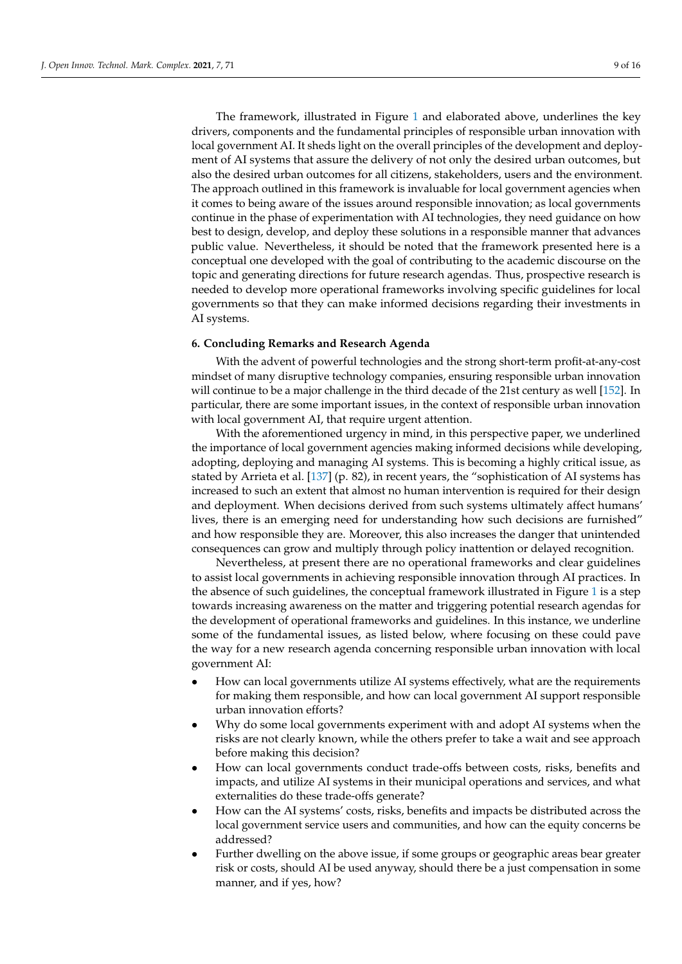The framework, illustrated in Figure [1](#page-6-1) and elaborated above, underlines the key drivers, components and the fundamental principles of responsible urban innovation with local government AI. It sheds light on the overall principles of the development and deployment of AI systems that assure the delivery of not only the desired urban outcomes, but also the desired urban outcomes for all citizens, stakeholders, users and the environment. The approach outlined in this framework is invaluable for local government agencies when it comes to being aware of the issues around responsible innovation; as local governments continue in the phase of experimentation with AI technologies, they need guidance on how best to design, develop, and deploy these solutions in a responsible manner that advances public value. Nevertheless, it should be noted that the framework presented here is a conceptual one developed with the goal of contributing to the academic discourse on the topic and generating directions for future research agendas. Thus, prospective research is needed to develop more operational frameworks involving specific guidelines for local governments so that they can make informed decisions regarding their investments in AI systems.

# <span id="page-8-0"></span>**6. Concluding Remarks and Research Agenda**

With the advent of powerful technologies and the strong short-term profit-at-any-cost mindset of many disruptive technology companies, ensuring responsible urban innovation will continue to be a major challenge in the third decade of the 21st century as well [\[152\]](#page-14-23). In particular, there are some important issues, in the context of responsible urban innovation with local government AI, that require urgent attention.

With the aforementioned urgency in mind, in this perspective paper, we underlined the importance of local government agencies making informed decisions while developing, adopting, deploying and managing AI systems. This is becoming a highly critical issue, as stated by Arrieta et al. [\[137\]](#page-14-11) (p. 82), in recent years, the "sophistication of AI systems has increased to such an extent that almost no human intervention is required for their design and deployment. When decisions derived from such systems ultimately affect humans' lives, there is an emerging need for understanding how such decisions are furnished" and how responsible they are. Moreover, this also increases the danger that unintended consequences can grow and multiply through policy inattention or delayed recognition.

Nevertheless, at present there are no operational frameworks and clear guidelines to assist local governments in achieving responsible innovation through AI practices. In the absence of such guidelines, the conceptual framework illustrated in Figure [1](#page-6-1) is a step towards increasing awareness on the matter and triggering potential research agendas for the development of operational frameworks and guidelines. In this instance, we underline some of the fundamental issues, as listed below, where focusing on these could pave the way for a new research agenda concerning responsible urban innovation with local government AI:

- How can local governments utilize AI systems effectively, what are the requirements for making them responsible, and how can local government AI support responsible urban innovation efforts?
- Why do some local governments experiment with and adopt AI systems when the risks are not clearly known, while the others prefer to take a wait and see approach before making this decision?
- How can local governments conduct trade-offs between costs, risks, benefits and impacts, and utilize AI systems in their municipal operations and services, and what externalities do these trade-offs generate?
- How can the AI systems' costs, risks, benefits and impacts be distributed across the local government service users and communities, and how can the equity concerns be addressed?
- Further dwelling on the above issue, if some groups or geographic areas bear greater risk or costs, should AI be used anyway, should there be a just compensation in some manner, and if yes, how?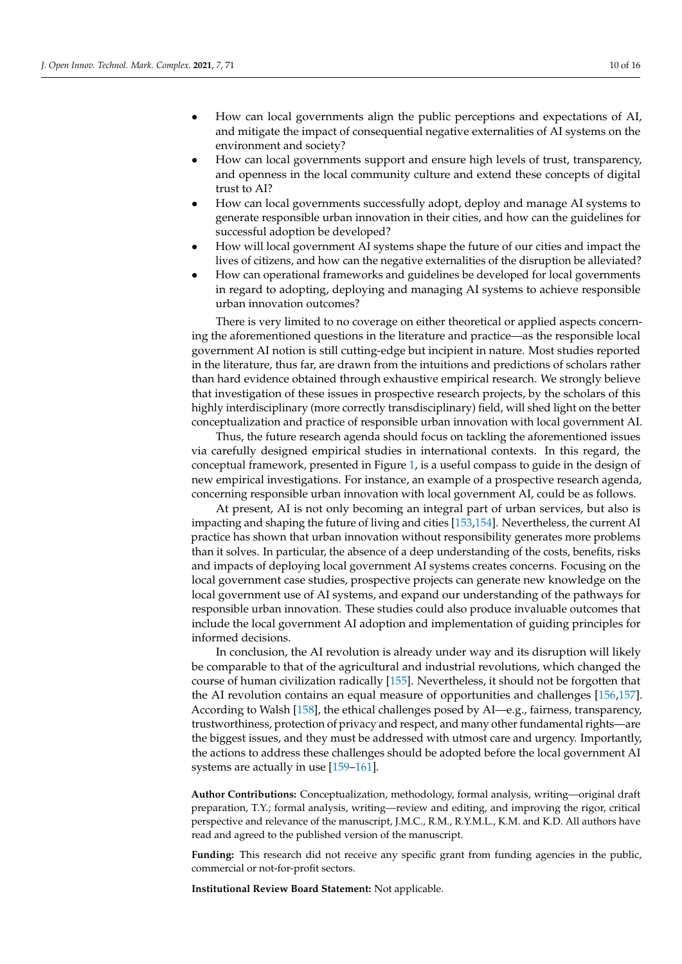- How can local governments align the public perceptions and expectations of AI, and mitigate the impact of consequential negative externalities of AI systems on the environment and society?
- How can local governments support and ensure high levels of trust, transparency, and openness in the local community culture and extend these concepts of digital trust to AI?
- How can local governments successfully adopt, deploy and manage AI systems to generate responsible urban innovation in their cities, and how can the guidelines for successful adoption be developed?
- How will local government AI systems shape the future of our cities and impact the lives of citizens, and how can the negative externalities of the disruption be alleviated?
- How can operational frameworks and guidelines be developed for local governments in regard to adopting, deploying and managing AI systems to achieve responsible urban innovation outcomes?

There is very limited to no coverage on either theoretical or applied aspects concerning the aforementioned questions in the literature and practice—as the responsible local government AI notion is still cutting-edge but incipient in nature. Most studies reported in the literature, thus far, are drawn from the intuitions and predictions of scholars rather than hard evidence obtained through exhaustive empirical research. We strongly believe that investigation of these issues in prospective research projects, by the scholars of this highly interdisciplinary (more correctly transdisciplinary) field, will shed light on the better conceptualization and practice of responsible urban innovation with local government AI.

Thus, the future research agenda should focus on tackling the aforementioned issues via carefully designed empirical studies in international contexts. In this regard, the conceptual framework, presented in Figure [1,](#page-6-1) is a useful compass to guide in the design of new empirical investigations. For instance, an example of a prospective research agenda, concerning responsible urban innovation with local government AI, could be as follows.

At present, AI is not only becoming an integral part of urban services, but also is impacting and shaping the future of living and cities [\[153,](#page-14-24)[154\]](#page-14-25). Nevertheless, the current AI practice has shown that urban innovation without responsibility generates more problems than it solves. In particular, the absence of a deep understanding of the costs, benefits, risks and impacts of deploying local government AI systems creates concerns. Focusing on the local government case studies, prospective projects can generate new knowledge on the local government use of AI systems, and expand our understanding of the pathways for responsible urban innovation. These studies could also produce invaluable outcomes that include the local government AI adoption and implementation of guiding principles for informed decisions.

In conclusion, the AI revolution is already under way and its disruption will likely be comparable to that of the agricultural and industrial revolutions, which changed the course of human civilization radically [\[155\]](#page-14-26). Nevertheless, it should not be forgotten that the AI revolution contains an equal measure of opportunities and challenges [\[156,](#page-14-27)[157\]](#page-15-0). According to Walsh [\[158\]](#page-15-1), the ethical challenges posed by AI—e.g., fairness, transparency, trustworthiness, protection of privacy and respect, and many other fundamental rights—are the biggest issues, and they must be addressed with utmost care and urgency. Importantly, the actions to address these challenges should be adopted before the local government AI systems are actually in use [\[159](#page-15-2)[–161\]](#page-15-3).

**Author Contributions:** Conceptualization, methodology, formal analysis, writing—original draft preparation, T.Y.; formal analysis, writing—review and editing, and improving the rigor, critical perspective and relevance of the manuscript, J.M.C., R.M., R.Y.M.L., K.M. and K.D. All authors have read and agreed to the published version of the manuscript.

**Funding:** This research did not receive any specific grant from funding agencies in the public, commercial or not-for-profit sectors.

**Institutional Review Board Statement:** Not applicable.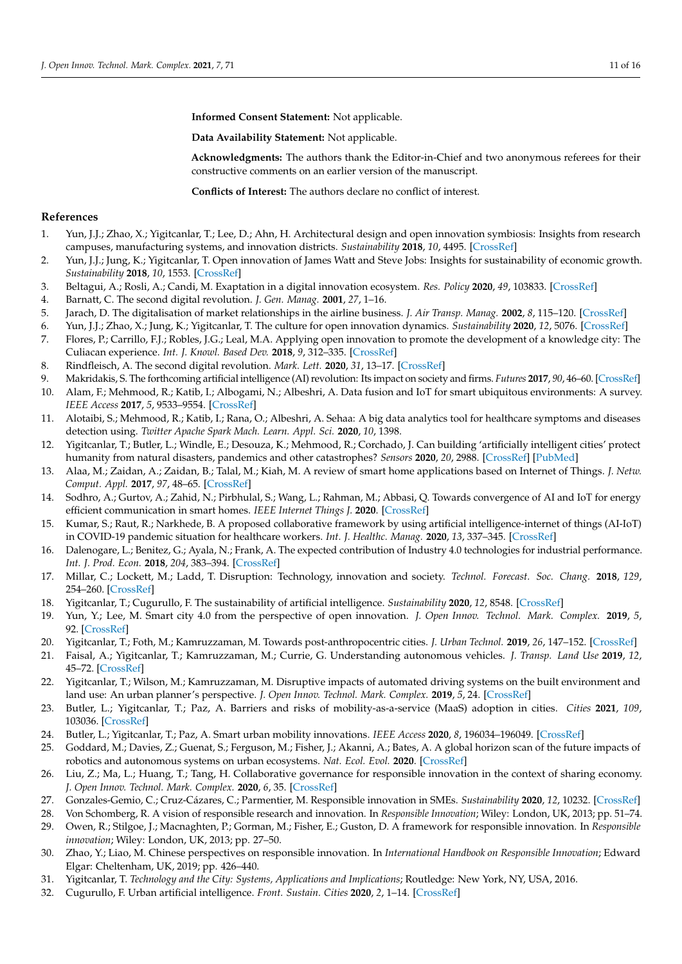**Informed Consent Statement:** Not applicable.

**Data Availability Statement:** Not applicable.

**Acknowledgments:** The authors thank the Editor-in-Chief and two anonymous referees for their constructive comments on an earlier version of the manuscript.

**Conflicts of Interest:** The authors declare no conflict of interest.

# **References**

- <span id="page-10-0"></span>1. Yun, J.J.; Zhao, X.; Yigitcanlar, T.; Lee, D.; Ahn, H. Architectural design and open innovation symbiosis: Insights from research campuses, manufacturing systems, and innovation districts. *Sustainability* **2018**, *10*, 4495. [\[CrossRef\]](http://doi.org/10.3390/su10124495)
- 2. Yun, J.J.; Jung, K.; Yigitcanlar, T. Open innovation of James Watt and Steve Jobs: Insights for sustainability of economic growth. *Sustainability* **2018**, *10*, 1553. [\[CrossRef\]](http://doi.org/10.3390/su10051553)
- <span id="page-10-1"></span>3. Beltagui, A.; Rosli, A.; Candi, M. Exaptation in a digital innovation ecosystem. *Res. Policy* **2020**, *49*, 103833. [\[CrossRef\]](http://doi.org/10.1016/j.respol.2019.103833)
- <span id="page-10-2"></span>4. Barnatt, C. The second digital revolution. *J. Gen. Manag.* **2001**, *27*, 1–16.
- <span id="page-10-3"></span>5. Jarach, D. The digitalisation of market relationships in the airline business. *J. Air Transp. Manag.* **2002**, *8*, 115–120. [\[CrossRef\]](http://doi.org/10.1016/S0969-6997(01)00039-4)
- <span id="page-10-4"></span>6. Yun, J.J.; Zhao, X.; Jung, K.; Yigitcanlar, T. The culture for open innovation dynamics. *Sustainability* **2020**, *12*, 5076. [\[CrossRef\]](http://doi.org/10.3390/su12125076)
- 7. Flores, P.; Carrillo, F.J.; Robles, J.G.; Leal, M.A. Applying open innovation to promote the development of a knowledge city: The Culiacan experience. *Int. J. Knowl. Based Dev.* **2018**, *9*, 312–335. [\[CrossRef\]](http://doi.org/10.1504/IJKBD.2018.094903)
- <span id="page-10-5"></span>8. Rindfleisch, A. The second digital revolution. *Mark. Lett.* **2020**, *31*, 13–17. [\[CrossRef\]](http://doi.org/10.1007/s11002-019-09509-4)
- <span id="page-10-6"></span>9. Makridakis, S. The forthcoming artificial intelligence (AI) revolution: Its impact on society and firms. *Futures* **2017**, *90*, 46–60. [\[CrossRef\]](http://doi.org/10.1016/j.futures.2017.03.006)
- <span id="page-10-7"></span>10. Alam, F.; Mehmood, R.; Katib, I.; Albogami, N.; Albeshri, A. Data fusion and IoT for smart ubiquitous environments: A survey. *IEEE Access* **2017**, *5*, 9533–9554. [\[CrossRef\]](http://doi.org/10.1109/ACCESS.2017.2697839)
- 11. Alotaibi, S.; Mehmood, R.; Katib, I.; Rana, O.; Albeshri, A. Sehaa: A big data analytics tool for healthcare symptoms and diseases detection using. *Twitter Apache Spark Mach. Learn. Appl. Sci.* **2020**, *10*, 1398.
- <span id="page-10-8"></span>12. Yigitcanlar, T.; Butler, L.; Windle, E.; Desouza, K.; Mehmood, R.; Corchado, J. Can building 'artificially intelligent cities' protect humanity from natural disasters, pandemics and other catastrophes? *Sensors* **2020**, *20*, 2988. [\[CrossRef\]](http://doi.org/10.3390/s20102988) [\[PubMed\]](http://www.ncbi.nlm.nih.gov/pubmed/32466175)
- <span id="page-10-9"></span>13. Alaa, M.; Zaidan, A.; Zaidan, B.; Talal, M.; Kiah, M. A review of smart home applications based on Internet of Things. *J. Netw. Comput. Appl.* **2017**, *97*, 48–65. [\[CrossRef\]](http://doi.org/10.1016/j.jnca.2017.08.017)
- <span id="page-10-10"></span>14. Sodhro, A.; Gurtov, A.; Zahid, N.; Pirbhulal, S.; Wang, L.; Rahman, M.; Abbasi, Q. Towards convergence of AI and IoT for energy efficient communication in smart homes. *IEEE Internet Things J.* **2020**. [\[CrossRef\]](http://doi.org/10.1109/JIOT.2020.3023667)
- <span id="page-10-11"></span>15. Kumar, S.; Raut, R.; Narkhede, B. A proposed collaborative framework by using artificial intelligence-internet of things (AI-IoT) in COVID-19 pandemic situation for healthcare workers. *Int. J. Healthc. Manag.* **2020**, *13*, 337–345. [\[CrossRef\]](http://doi.org/10.1080/20479700.2020.1810453)
- <span id="page-10-12"></span>16. Dalenogare, L.; Benitez, G.; Ayala, N.; Frank, A. The expected contribution of Industry 4.0 technologies for industrial performance. *Int. J. Prod. Econ.* **2018**, *204*, 383–394. [\[CrossRef\]](http://doi.org/10.1016/j.ijpe.2018.08.019)
- <span id="page-10-13"></span>17. Millar, C.; Lockett, M.; Ladd, T. Disruption: Technology, innovation and society. *Technol. Forecast. Soc. Chang.* **2018**, *129*, 254–260. [\[CrossRef\]](http://doi.org/10.1016/j.techfore.2017.10.020)
- 18. Yigitcanlar, T.; Cugurullo, F. The sustainability of artificial intelligence. *Sustainability* **2020**, *12*, 8548. [\[CrossRef\]](http://doi.org/10.3390/su12208548)
- <span id="page-10-14"></span>19. Yun, Y.; Lee, M. Smart city 4.0 from the perspective of open innovation. *J. Open Innov. Technol. Mark. Complex.* **2019**, *5*, 92. [\[CrossRef\]](http://doi.org/10.3390/joitmc5040092)
- <span id="page-10-15"></span>20. Yigitcanlar, T.; Foth, M.; Kamruzzaman, M. Towards post-anthropocentric cities. *J. Urban Technol.* **2019**, *26*, 147–152. [\[CrossRef\]](http://doi.org/10.1080/10630732.2018.1524249)
- <span id="page-10-16"></span>21. Faisal, A.; Yigitcanlar, T.; Kamruzzaman, M.; Currie, G. Understanding autonomous vehicles. *J. Transp. Land Use* **2019**, *12*, 45–72. [\[CrossRef\]](http://doi.org/10.5198/jtlu.2019.1405)
- <span id="page-10-17"></span>22. Yigitcanlar, T.; Wilson, M.; Kamruzzaman, M. Disruptive impacts of automated driving systems on the built environment and land use: An urban planner's perspective. *J. Open Innov. Technol. Mark. Complex.* **2019**, *5*, 24. [\[CrossRef\]](http://doi.org/10.3390/joitmc5020024)
- <span id="page-10-18"></span>23. Butler, L.; Yigitcanlar, T.; Paz, A. Barriers and risks of mobility-as-a-service (MaaS) adoption in cities. *Cities* **2021**, *109*, 103036. [\[CrossRef\]](http://doi.org/10.1016/j.cities.2020.103036)
- <span id="page-10-19"></span>24. Butler, L.; Yigitcanlar, T.; Paz, A. Smart urban mobility innovations. *IEEE Access* **2020**, *8*, 196034–196049. [\[CrossRef\]](http://doi.org/10.1109/ACCESS.2020.3034596)
- 25. Goddard, M.; Davies, Z.; Guenat, S.; Ferguson, M.; Fisher, J.; Akanni, A.; Bates, A. A global horizon scan of the future impacts of robotics and autonomous systems on urban ecosystems. *Nat. Ecol. Evol.* **2020**. [\[CrossRef\]](http://doi.org/10.1038/s41559-020-01358-z)
- <span id="page-10-20"></span>26. Liu, Z.; Ma, L.; Huang, T.; Tang, H. Collaborative governance for responsible innovation in the context of sharing economy. *J. Open Innov. Technol. Mark. Complex.* **2020**, *6*, 35. [\[CrossRef\]](http://doi.org/10.3390/joitmc6020035)
- <span id="page-10-21"></span>27. Gonzales-Gemio, C.; Cruz-Cázares, C.; Parmentier, M. Responsible innovation in SMEs. *Sustainability* **2020**, *12*, 10232. [\[CrossRef\]](http://doi.org/10.3390/su122410232)
- <span id="page-10-22"></span>28. Von Schomberg, R. A vision of responsible research and innovation. In *Responsible Innovation*; Wiley: London, UK, 2013; pp. 51–74.
- <span id="page-10-23"></span>29. Owen, R.; Stilgoe, J.; Macnaghten, P.; Gorman, M.; Fisher, E.; Guston, D. A framework for responsible innovation. In *Responsible innovation*; Wiley: London, UK, 2013; pp. 27–50.
- <span id="page-10-24"></span>30. Zhao, Y.; Liao, M. Chinese perspectives on responsible innovation. In *International Handbook on Responsible Innovation*; Edward Elgar: Cheltenham, UK, 2019; pp. 426–440.
- <span id="page-10-25"></span>31. Yigitcanlar, T. *Technology and the City: Systems, Applications and Implications*; Routledge: New York, NY, USA, 2016.
- <span id="page-10-26"></span>32. Cugurullo, F. Urban artificial intelligence. *Front. Sustain. Cities* **2020**, *2*, 1–14. [\[CrossRef\]](http://doi.org/10.3389/frsc.2020.00038)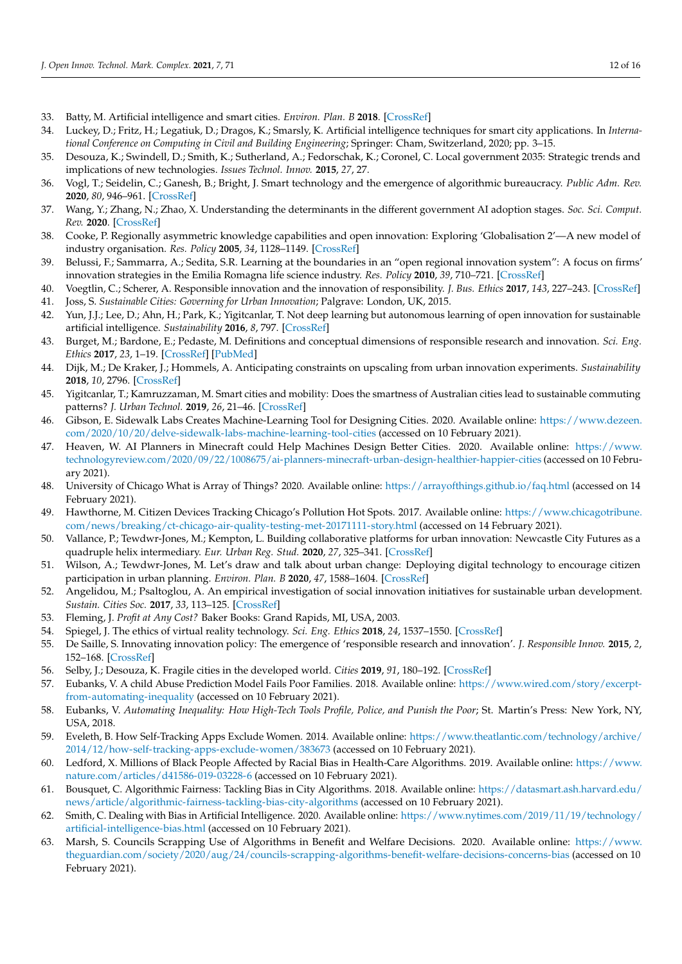- <span id="page-11-0"></span>33. Batty, M. Artificial intelligence and smart cities. *Environ. Plan. B* **2018**. [\[CrossRef\]](http://doi.org/10.1177/2399808317751169)
- <span id="page-11-1"></span>34. Luckey, D.; Fritz, H.; Legatiuk, D.; Dragos, K.; Smarsly, K. Artificial intelligence techniques for smart city applications. In *International Conference on Computing in Civil and Building Engineering*; Springer: Cham, Switzerland, 2020; pp. 3–15.
- <span id="page-11-2"></span>35. Desouza, K.; Swindell, D.; Smith, K.; Sutherland, A.; Fedorschak, K.; Coronel, C. Local government 2035: Strategic trends and implications of new technologies. *Issues Technol. Innov.* **2015**, *27*, 27.
- 36. Vogl, T.; Seidelin, C.; Ganesh, B.; Bright, J. Smart technology and the emergence of algorithmic bureaucracy. *Public Adm. Rev.* **2020**, *80*, 946–961. [\[CrossRef\]](http://doi.org/10.1111/puar.13286)
- <span id="page-11-3"></span>37. Wang, Y.; Zhang, N.; Zhao, X. Understanding the determinants in the different government AI adoption stages. *Soc. Sci. Comput. Rev.* **2020**. [\[CrossRef\]](http://doi.org/10.1177/0894439320980132)
- <span id="page-11-4"></span>38. Cooke, P. Regionally asymmetric knowledge capabilities and open innovation: Exploring 'Globalisation 2'—A new model of industry organisation. *Res. Policy* **2005**, *34*, 1128–1149. [\[CrossRef\]](http://doi.org/10.1016/j.respol.2004.12.005)
- 39. Belussi, F.; Sammarra, A.; Sedita, S.R. Learning at the boundaries in an "open regional innovation system": A focus on firms' innovation strategies in the Emilia Romagna life science industry. *Res. Policy* **2010**, *39*, 710–721. [\[CrossRef\]](http://doi.org/10.1016/j.respol.2010.01.014)
- <span id="page-11-5"></span>40. Voegtlin, C.; Scherer, A. Responsible innovation and the innovation of responsibility. *J. Bus. Ethics* **2017**, *143*, 227–243. [\[CrossRef\]](http://doi.org/10.1007/s10551-015-2769-z)
- <span id="page-11-6"></span>41. Joss, S. *Sustainable Cities: Governing for Urban Innovation*; Palgrave: London, UK, 2015.
- 42. Yun, J.J.; Lee, D.; Ahn, H.; Park, K.; Yigitcanlar, T. Not deep learning but autonomous learning of open innovation for sustainable artificial intelligence. *Sustainability* **2016**, *8*, 797. [\[CrossRef\]](http://doi.org/10.3390/su8080797)
- <span id="page-11-7"></span>43. Burget, M.; Bardone, E.; Pedaste, M. Definitions and conceptual dimensions of responsible research and innovation. *Sci. Eng. Ethics* **2017**, *23*, 1–19. [\[CrossRef\]](http://doi.org/10.1007/s11948-016-9782-1) [\[PubMed\]](http://www.ncbi.nlm.nih.gov/pubmed/27090147)
- <span id="page-11-8"></span>44. Dijk, M.; De Kraker, J.; Hommels, A. Anticipating constraints on upscaling from urban innovation experiments. *Sustainability* **2018**, *10*, 2796. [\[CrossRef\]](http://doi.org/10.3390/su10082796)
- <span id="page-11-9"></span>45. Yigitcanlar, T.; Kamruzzaman, M. Smart cities and mobility: Does the smartness of Australian cities lead to sustainable commuting patterns? *J. Urban Technol.* **2019**, *26*, 21–46. [\[CrossRef\]](http://doi.org/10.1080/10630732.2018.1476794)
- <span id="page-11-10"></span>46. Gibson, E. Sidewalk Labs Creates Machine-Learning Tool for Designing Cities. 2020. Available online: [https://www.dezeen.](https://www.dezeen.com/2020/10/20/delve-sidewalk-labs-machine-learning-tool-cities) [com/2020/10/20/delve-sidewalk-labs-machine-learning-tool-cities](https://www.dezeen.com/2020/10/20/delve-sidewalk-labs-machine-learning-tool-cities) (accessed on 10 February 2021).
- <span id="page-11-11"></span>47. Heaven, W. AI Planners in Minecraft could Help Machines Design Better Cities. 2020. Available online: [https://www.](https://www.technologyreview.com/2020/09/22/1008675/ai-planners-minecraft-urban-design-healthier-happier-cities) [technologyreview.com/2020/09/22/1008675/ai-planners-minecraft-urban-design-healthier-happier-cities](https://www.technologyreview.com/2020/09/22/1008675/ai-planners-minecraft-urban-design-healthier-happier-cities) (accessed on 10 February 2021).
- <span id="page-11-12"></span>48. University of Chicago What is Array of Things? 2020. Available online: <https://arrayofthings.github.io/faq.html> (accessed on 14 February 2021).
- <span id="page-11-13"></span>49. Hawthorne, M. Citizen Devices Tracking Chicago's Pollution Hot Spots. 2017. Available online: [https://www.chicagotribune.](https://www.chicagotribune.com/news/breaking/ct-chicago-air-quality-testing-met-20171111-story.html) [com/news/breaking/ct-chicago-air-quality-testing-met-20171111-story.html](https://www.chicagotribune.com/news/breaking/ct-chicago-air-quality-testing-met-20171111-story.html) (accessed on 14 February 2021).
- <span id="page-11-14"></span>50. Vallance, P.; Tewdwr-Jones, M.; Kempton, L. Building collaborative platforms for urban innovation: Newcastle City Futures as a quadruple helix intermediary. *Eur. Urban Reg. Stud.* **2020**, *27*, 325–341. [\[CrossRef\]](http://doi.org/10.1177/0969776420905630)
- <span id="page-11-15"></span>51. Wilson, A.; Tewdwr-Jones, M. Let's draw and talk about urban change: Deploying digital technology to encourage citizen participation in urban planning. *Environ. Plan. B* **2020**, *47*, 1588–1604. [\[CrossRef\]](http://doi.org/10.1177/2399808319831290)
- <span id="page-11-16"></span>52. Angelidou, M.; Psaltoglou, A. An empirical investigation of social innovation initiatives for sustainable urban development. *Sustain. Cities Soc.* **2017**, *33*, 113–125. [\[CrossRef\]](http://doi.org/10.1016/j.scs.2017.05.016)
- <span id="page-11-17"></span>53. Fleming, J. *Profit at Any Cost?* Baker Books: Grand Rapids, MI, USA, 2003.
- <span id="page-11-18"></span>54. Spiegel, J. The ethics of virtual reality technology. *Sci. Eng. Ethics* **2018**, *24*, 1537–1550. [\[CrossRef\]](http://doi.org/10.1007/s11948-017-9979-y)
- <span id="page-11-19"></span>55. De Saille, S. Innovating innovation policy: The emergence of 'responsible research and innovation'. *J. Responsible Innov.* **2015**, *2*, 152–168. [\[CrossRef\]](http://doi.org/10.1080/23299460.2015.1045280)
- <span id="page-11-20"></span>56. Selby, J.; Desouza, K. Fragile cities in the developed world. *Cities* **2019**, *91*, 180–192. [\[CrossRef\]](http://doi.org/10.1016/j.cities.2018.11.018)
- <span id="page-11-21"></span>57. Eubanks, V. A child Abuse Prediction Model Fails Poor Families. 2018. Available online: [https://www.wired.com/story/excerpt](https://www.wired.com/story/excerpt-from-automating-inequality)[from-automating-inequality](https://www.wired.com/story/excerpt-from-automating-inequality) (accessed on 10 February 2021).
- <span id="page-11-22"></span>58. Eubanks, V. *Automating Inequality: How High-Tech Tools Profile, Police, and Punish the Poor*; St. Martin's Press: New York, NY, USA, 2018.
- <span id="page-11-23"></span>59. Eveleth, B. How Self-Tracking Apps Exclude Women. 2014. Available online: [https://www.theatlantic.com/technology/archive/](https://www.theatlantic.com/technology/archive/2014/12/how-self-tracking-apps-exclude-women/383673) [2014/12/how-self-tracking-apps-exclude-women/383673](https://www.theatlantic.com/technology/archive/2014/12/how-self-tracking-apps-exclude-women/383673) (accessed on 10 February 2021).
- <span id="page-11-24"></span>60. Ledford, X. Millions of Black People Affected by Racial Bias in Health-Care Algorithms. 2019. Available online: [https://www.](https://www.nature.com/articles/d41586-019-03228-6) [nature.com/articles/d41586-019-03228-6](https://www.nature.com/articles/d41586-019-03228-6) (accessed on 10 February 2021).
- <span id="page-11-25"></span>61. Bousquet, C. Algorithmic Fairness: Tackling Bias in City Algorithms. 2018. Available online: [https://datasmart.ash.harvard.edu/](https://datasmart.ash.harvard.edu/news/article/algorithmic-fairness-tackling-bias-city-algorithms) [news/article/algorithmic-fairness-tackling-bias-city-algorithms](https://datasmart.ash.harvard.edu/news/article/algorithmic-fairness-tackling-bias-city-algorithms) (accessed on 10 February 2021).
- <span id="page-11-26"></span>62. Smith, C. Dealing with Bias in Artificial Intelligence. 2020. Available online: [https://www.nytimes.com/2019/11/19/technology/](https://www.nytimes.com/2019/11/19/technology/artificial-intelligence-bias.html) [artificial-intelligence-bias.html](https://www.nytimes.com/2019/11/19/technology/artificial-intelligence-bias.html) (accessed on 10 February 2021).
- <span id="page-11-27"></span>63. Marsh, S. Councils Scrapping Use of Algorithms in Benefit and Welfare Decisions. 2020. Available online: [https://www.](https://www.theguardian.com/society/2020/aug/24/councils-scrapping-algorithms-benefit-welfare-decisions-concerns-bias) [theguardian.com/society/2020/aug/24/councils-scrapping-algorithms-benefit-welfare-decisions-concerns-bias](https://www.theguardian.com/society/2020/aug/24/councils-scrapping-algorithms-benefit-welfare-decisions-concerns-bias) (accessed on 10 February 2021).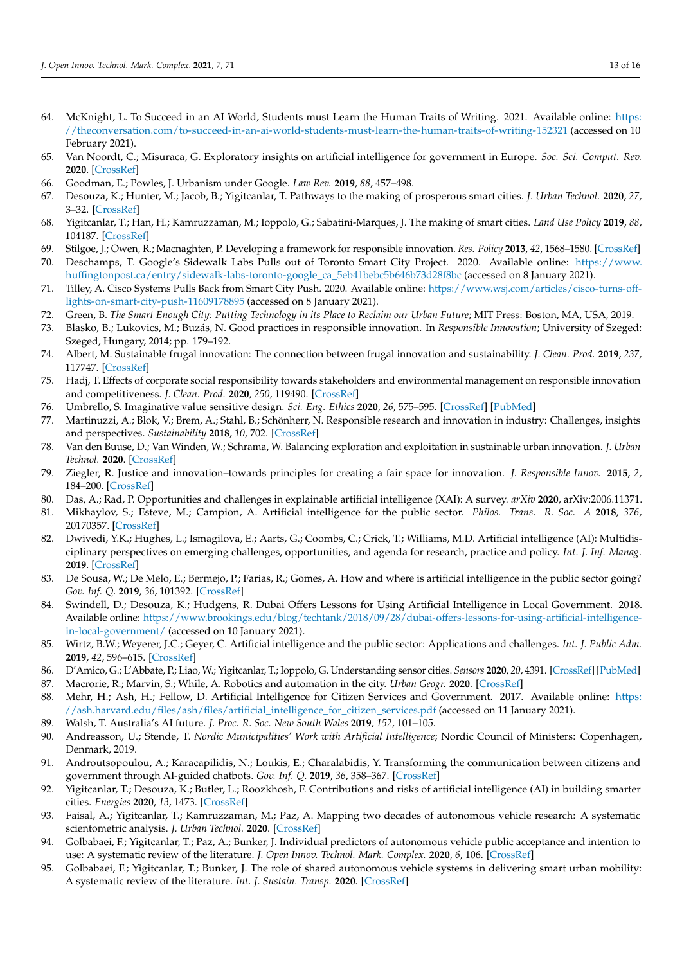- <span id="page-12-0"></span>64. McKnight, L. To Succeed in an AI World, Students must Learn the Human Traits of Writing. 2021. Available online: [https:](https://theconversation.com/to-succeed-in-an-ai-world-students-must-learn-the-human-traits-of-writing-152321) [//theconversation.com/to-succeed-in-an-ai-world-students-must-learn-the-human-traits-of-writing-152321](https://theconversation.com/to-succeed-in-an-ai-world-students-must-learn-the-human-traits-of-writing-152321) (accessed on 10 February 2021).
- <span id="page-12-1"></span>65. Van Noordt, C.; Misuraca, G. Exploratory insights on artificial intelligence for government in Europe. *Soc. Sci. Comput. Rev.* **2020**. [\[CrossRef\]](http://doi.org/10.1177/0894439320980449)
- <span id="page-12-2"></span>66. Goodman, E.; Powles, J. Urbanism under Google. *Law Rev.* **2019**, *88*, 457–498.
- <span id="page-12-3"></span>67. Desouza, K.; Hunter, M.; Jacob, B.; Yigitcanlar, T. Pathways to the making of prosperous smart cities. *J. Urban Technol.* **2020**, *27*, 3–32. [\[CrossRef\]](http://doi.org/10.1080/10630732.2020.1807251)
- <span id="page-12-4"></span>68. Yigitcanlar, T.; Han, H.; Kamruzzaman, M.; Ioppolo, G.; Sabatini-Marques, J. The making of smart cities. *Land Use Policy* **2019**, *88*, 104187. [\[CrossRef\]](http://doi.org/10.1016/j.landusepol.2019.104187)
- <span id="page-12-5"></span>69. Stilgoe, J.; Owen, R.; Macnaghten, P. Developing a framework for responsible innovation. *Res. Policy* **2013**, *42*, 1568–1580. [\[CrossRef\]](http://doi.org/10.1016/j.respol.2013.05.008)
- 70. Deschamps, T. Google's Sidewalk Labs Pulls out of Toronto Smart City Project. 2020. Available online: [https://www.](https://www.huffingtonpost.ca/entry/sidewalk-labs-toronto-google_ca_5eb41bebc5b646b73d28f8bc) [huffingtonpost.ca/entry/sidewalk-labs-toronto-google\\_ca\\_5eb41bebc5b646b73d28f8bc](https://www.huffingtonpost.ca/entry/sidewalk-labs-toronto-google_ca_5eb41bebc5b646b73d28f8bc) (accessed on 8 January 2021).
- <span id="page-12-6"></span>71. Tilley, A. Cisco Systems Pulls Back from Smart City Push. 2020. Available online: [https://www.wsj.com/articles/cisco-turns-off](https://www.wsj.com/articles/cisco-turns-off-lights-on-smart-city-push-11609178895)[lights-on-smart-city-push-11609178895](https://www.wsj.com/articles/cisco-turns-off-lights-on-smart-city-push-11609178895) (accessed on 8 January 2021).
- <span id="page-12-7"></span>72. Green, B. *The Smart Enough City: Putting Technology in its Place to Reclaim our Urban Future*; MIT Press: Boston, MA, USA, 2019.
- <span id="page-12-8"></span>73. Blasko, B.; Lukovics, M.; Buzás, N. Good practices in responsible innovation. In *Responsible Innovation*; University of Szeged: Szeged, Hungary, 2014; pp. 179–192.
- <span id="page-12-9"></span>74. Albert, M. Sustainable frugal innovation: The connection between frugal innovation and sustainability. *J. Clean. Prod.* **2019**, *237*, 117747. [\[CrossRef\]](http://doi.org/10.1016/j.jclepro.2019.117747)
- 75. Hadj, T. Effects of corporate social responsibility towards stakeholders and environmental management on responsible innovation and competitiveness. *J. Clean. Prod.* **2020**, *250*, 119490. [\[CrossRef\]](http://doi.org/10.1016/j.jclepro.2019.119490)
- <span id="page-12-10"></span>76. Umbrello, S. Imaginative value sensitive design. *Sci. Eng. Ethics* **2020**, *26*, 575–595. [\[CrossRef\]](http://doi.org/10.1007/s11948-019-00104-4) [\[PubMed\]](http://www.ncbi.nlm.nih.gov/pubmed/30972629)
- <span id="page-12-11"></span>77. Martinuzzi, A.; Blok, V.; Brem, A.; Stahl, B.; Schönherr, N. Responsible research and innovation in industry: Challenges, insights and perspectives. *Sustainability* **2018**, *10*, 702. [\[CrossRef\]](http://doi.org/10.3390/su10030702)
- <span id="page-12-12"></span>78. Van den Buuse, D.; Van Winden, W.; Schrama, W. Balancing exploration and exploitation in sustainable urban innovation. *J. Urban Technol.* **2020**. [\[CrossRef\]](http://doi.org/10.1080/10630732.2020.1835048)
- <span id="page-12-13"></span>79. Ziegler, R. Justice and innovation–towards principles for creating a fair space for innovation. *J. Responsible Innov.* **2015**, *2*, 184–200. [\[CrossRef\]](http://doi.org/10.1080/23299460.2015.1057796)
- <span id="page-12-14"></span>80. Das, A.; Rad, P. Opportunities and challenges in explainable artificial intelligence (XAI): A survey. *arXiv* **2020**, arXiv:2006.11371.
- <span id="page-12-15"></span>81. Mikhaylov, S.; Esteve, M.; Campion, A. Artificial intelligence for the public sector. *Philos. Trans. R. Soc. A* **2018**, *376*, 20170357. [\[CrossRef\]](http://doi.org/10.1098/rsta.2017.0357)
- <span id="page-12-16"></span>82. Dwivedi, Y.K.; Hughes, L.; Ismagilova, E.; Aarts, G.; Coombs, C.; Crick, T.; Williams, M.D. Artificial intelligence (AI): Multidisciplinary perspectives on emerging challenges, opportunities, and agenda for research, practice and policy. *Int. J. Inf. Manag.* **2019**. [\[CrossRef\]](http://doi.org/10.1016/j.ijinfomgt.2019.08.002)
- <span id="page-12-17"></span>83. De Sousa, W.; De Melo, E.; Bermejo, P.; Farias, R.; Gomes, A. How and where is artificial intelligence in the public sector going? *Gov. Inf. Q.* **2019**, *36*, 101392. [\[CrossRef\]](http://doi.org/10.1016/j.giq.2019.07.004)
- <span id="page-12-18"></span>84. Swindell, D.; Desouza, K.; Hudgens, R. Dubai Offers Lessons for Using Artificial Intelligence in Local Government. 2018. Available online: [https://www.brookings.edu/blog/techtank/2018/09/28/dubai-offers-lessons-for-using-artificial-intelligence](https://www.brookings.edu/blog/techtank/2018/09/28/dubai-offers-lessons-for-using-artificial-intelligence-in-local-government/)[in-local-government/](https://www.brookings.edu/blog/techtank/2018/09/28/dubai-offers-lessons-for-using-artificial-intelligence-in-local-government/) (accessed on 10 January 2021).
- <span id="page-12-19"></span>85. Wirtz, B.W.; Weyerer, J.C.; Geyer, C. Artificial intelligence and the public sector: Applications and challenges. *Int. J. Public Adm.* **2019**, *42*, 596–615. [\[CrossRef\]](http://doi.org/10.1080/01900692.2018.1498103)
- <span id="page-12-20"></span>86. D'Amico, G.; L'Abbate, P.; Liao, W.; Yigitcanlar, T.; Ioppolo, G. Understanding sensor cities. *Sensors* **2020**, *20*, 4391. [\[CrossRef\]](http://doi.org/10.3390/s20164391) [\[PubMed\]](http://www.ncbi.nlm.nih.gov/pubmed/32781671)
- <span id="page-12-21"></span>87. Macrorie, R.; Marvin, S.; While, A. Robotics and automation in the city. *Urban Geogr.* **2020**. [\[CrossRef\]](http://doi.org/10.1080/02723638.2019.1698868)
- <span id="page-12-22"></span>88. Mehr, H.; Ash, H.; Fellow, D. Artificial Intelligence for Citizen Services and Government. 2017. Available online: [https:](https://ash.harvard.edu/files/ash/files/artificial_intelligence_for_citizen_services.pdf) [//ash.harvard.edu/files/ash/files/artificial\\_intelligence\\_for\\_citizen\\_services.pdf](https://ash.harvard.edu/files/ash/files/artificial_intelligence_for_citizen_services.pdf) (accessed on 11 January 2021).
- <span id="page-12-23"></span>89. Walsh, T. Australia's AI future. *J. Proc. R. Soc. New South Wales* **2019**, *152*, 101–105.
- <span id="page-12-24"></span>90. Andreasson, U.; Stende, T. *Nordic Municipalities' Work with Artificial Intelligence*; Nordic Council of Ministers: Copenhagen, Denmark, 2019.
- <span id="page-12-25"></span>91. Androutsopoulou, A.; Karacapilidis, N.; Loukis, E.; Charalabidis, Y. Transforming the communication between citizens and government through AI-guided chatbots. *Gov. Inf. Q.* **2019**, *36*, 358–367. [\[CrossRef\]](http://doi.org/10.1016/j.giq.2018.10.001)
- <span id="page-12-26"></span>92. Yigitcanlar, T.; Desouza, K.; Butler, L.; Roozkhosh, F. Contributions and risks of artificial intelligence (AI) in building smarter cities. *Energies* **2020**, *13*, 1473. [\[CrossRef\]](http://doi.org/10.3390/en13061473)
- <span id="page-12-27"></span>93. Faisal, A.; Yigitcanlar, T.; Kamruzzaman, M.; Paz, A. Mapping two decades of autonomous vehicle research: A systematic scientometric analysis. *J. Urban Technol.* **2020**. [\[CrossRef\]](http://doi.org/10.1080/10630732.2020.1780868)
- 94. Golbabaei, F.; Yigitcanlar, T.; Paz, A.; Bunker, J. Individual predictors of autonomous vehicle public acceptance and intention to use: A systematic review of the literature. *J. Open Innov. Technol. Mark. Complex.* **2020**, *6*, 106. [\[CrossRef\]](http://doi.org/10.3390/joitmc6040106)
- <span id="page-12-28"></span>95. Golbabaei, F.; Yigitcanlar, T.; Bunker, J. The role of shared autonomous vehicle systems in delivering smart urban mobility: A systematic review of the literature. *Int. J. Sustain. Transp.* **2020**. [\[CrossRef\]](http://doi.org/10.1080/15568318.2020.1798571)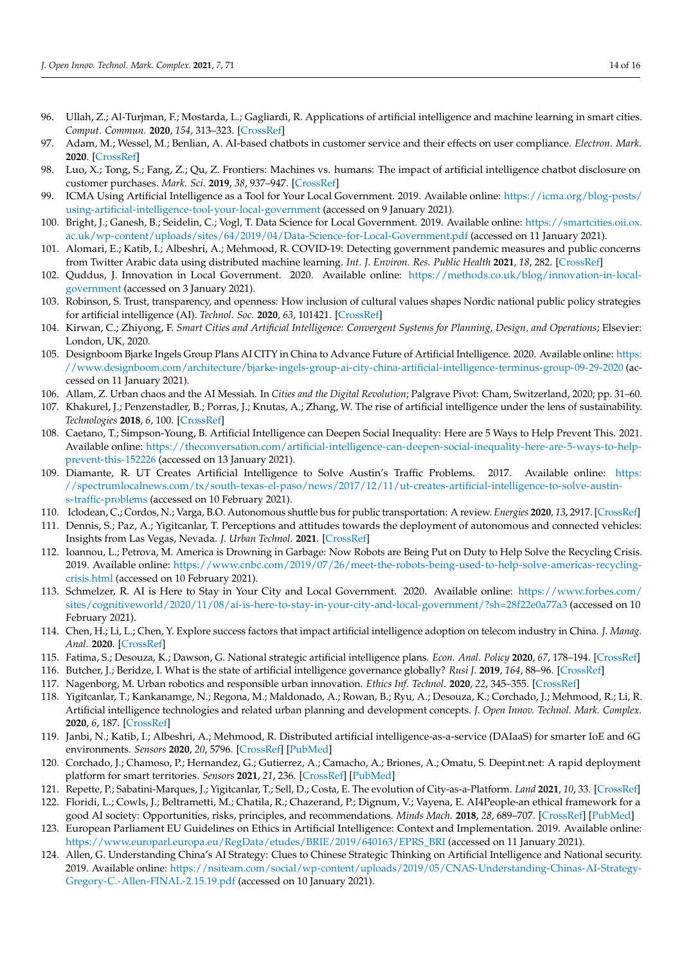- <span id="page-13-0"></span>96. Ullah, Z.; Al-Turjman, F.; Mostarda, L.; Gagliardi, R. Applications of artificial intelligence and machine learning in smart cities. *Comput. Commun.* **2020**, *154*, 313–323. [\[CrossRef\]](http://doi.org/10.1016/j.comcom.2020.02.069)
- <span id="page-13-1"></span>97. Adam, M.; Wessel, M.; Benlian, A. AI-based chatbots in customer service and their effects on user compliance. *Electron. Mark.* **2020**. [\[CrossRef\]](http://doi.org/10.1007/s12525-020-00414-7)
- <span id="page-13-2"></span>98. Luo, X.; Tong, S.; Fang, Z.; Qu, Z. Frontiers: Machines vs. humans: The impact of artificial intelligence chatbot disclosure on customer purchases. *Mark. Sci.* **2019**, *38*, 937–947. [\[CrossRef\]](http://doi.org/10.1287/mksc.2019.1192)
- <span id="page-13-3"></span>99. ICMA Using Artificial Intelligence as a Tool for Your Local Government. 2019. Available online: [https://icma.org/blog-posts/](https://icma.org/blog-posts/using-artificial-intelligence-tool-your-local-government) [using-artificial-intelligence-tool-your-local-government](https://icma.org/blog-posts/using-artificial-intelligence-tool-your-local-government) (accessed on 9 January 2021).
- <span id="page-13-4"></span>100. Bright, J.; Ganesh, B.; Seidelin, C.; Vogl, T. Data Science for Local Government. 2019. Available online: [https://smartcities.oii.ox.](https://smartcities.oii.ox.ac.uk/wp-content/uploads/sites/64/2019/04/Data-Science-for-Local-Government.pdf) [ac.uk/wp-content/uploads/sites/64/2019/04/Data-Science-for-Local-Government.pdf](https://smartcities.oii.ox.ac.uk/wp-content/uploads/sites/64/2019/04/Data-Science-for-Local-Government.pdf) (accessed on 11 January 2021).
- <span id="page-13-5"></span>101. Alomari, E.; Katib, I.; Albeshri, A.; Mehmood, R. COVID-19: Detecting government pandemic measures and public concerns from Twitter Arabic data using distributed machine learning. *Int. J. Environ. Res. Public Health* **2021**, *18*, 282. [\[CrossRef\]](http://doi.org/10.3390/ijerph18010282)
- <span id="page-13-6"></span>102. Quddus, J. Innovation in Local Government. 2020. Available online: [https://methods.co.uk/blog/innovation-in-local](https://methods.co.uk/blog/innovation-in-local-government)[government](https://methods.co.uk/blog/innovation-in-local-government) (accessed on 3 January 2021).
- <span id="page-13-7"></span>103. Robinson, S. Trust, transparency, and openness: How inclusion of cultural values shapes Nordic national public policy strategies for artificial intelligence (AI). *Technol. Soc.* **2020**, *63*, 101421. [\[CrossRef\]](http://doi.org/10.1016/j.techsoc.2020.101421)
- <span id="page-13-8"></span>104. Kirwan, C.; Zhiyong, F. *Smart Cities and Artificial Intelligence: Convergent Systems for Planning, Design, and Operations*; Elsevier: London, UK, 2020.
- <span id="page-13-9"></span>105. Designboom Bjarke Ingels Group Plans AI CITY in China to Advance Future of Artificial Intelligence. 2020. Available online: [https:](https://www.designboom.com/architecture/bjarke-ingels-group-ai-city-china-artificial-intelligence-terminus-group-09-29-2020) [//www.designboom.com/architecture/bjarke-ingels-group-ai-city-china-artificial-intelligence-terminus-group-09-29-2020](https://www.designboom.com/architecture/bjarke-ingels-group-ai-city-china-artificial-intelligence-terminus-group-09-29-2020) (accessed on 11 January 2021).
- <span id="page-13-10"></span>106. Allam, Z. Urban chaos and the AI Messiah. In *Cities and the Digital Revolution*; Palgrave Pivot: Cham, Switzerland, 2020; pp. 31–60.
- <span id="page-13-11"></span>107. Khakurel, J.; Penzenstadler, B.; Porras, J.; Knutas, A.; Zhang, W. The rise of artificial intelligence under the lens of sustainability. *Technologies* **2018**, *6*, 100. [\[CrossRef\]](http://doi.org/10.3390/technologies6040100)
- <span id="page-13-12"></span>108. Caetano, T.; Simpson-Young, B. Artificial Intelligence can Deepen Social Inequality: Here are 5 Ways to Help Prevent This. 2021. Available online: [https://theconversation.com/artificial-intelligence-can-deepen-social-inequality-here-are-5-ways-to-help](https://theconversation.com/artificial-intelligence-can-deepen-social-inequality-here-are-5-ways-to-help-prevent-this-152226)[prevent-this-152226](https://theconversation.com/artificial-intelligence-can-deepen-social-inequality-here-are-5-ways-to-help-prevent-this-152226) (accessed on 13 January 2021).
- <span id="page-13-13"></span>109. Diamante, R. UT Creates Artificial Intelligence to Solve Austin's Traffic Problems. 2017. Available online: [https:](https://spectrumlocalnews.com/tx/south-texas-el-paso/news/2017/12/11/ut-creates-artificial-intelligence-to-solve-austin-s-traffic-problems) [//spectrumlocalnews.com/tx/south-texas-el-paso/news/2017/12/11/ut-creates-artificial-intelligence-to-solve-austin](https://spectrumlocalnews.com/tx/south-texas-el-paso/news/2017/12/11/ut-creates-artificial-intelligence-to-solve-austin-s-traffic-problems)[s-traffic-problems](https://spectrumlocalnews.com/tx/south-texas-el-paso/news/2017/12/11/ut-creates-artificial-intelligence-to-solve-austin-s-traffic-problems) (accessed on 10 February 2021).
- <span id="page-13-14"></span>110. Iclodean, C.; Cordos, N.; Varga, B.O. Autonomous shuttle bus for public transportation: A review. *Energies* **2020**, *13*, 2917. [\[CrossRef\]](http://doi.org/10.3390/en13112917)
- <span id="page-13-15"></span>111. Dennis, S.; Paz, A.; Yigitcanlar, T. Perceptions and attitudes towards the deployment of autonomous and connected vehicles: Insights from Las Vegas, Nevada. *J. Urban Technol.* **2021**. [\[CrossRef\]](http://doi.org/10.1080/10630732.2021.1879606)
- <span id="page-13-16"></span>112. Ioannou, L.; Petrova, M. America is Drowning in Garbage: Now Robots are Being Put on Duty to Help Solve the Recycling Crisis. 2019. Available online: [https://www.cnbc.com/2019/07/26/meet-the-robots-being-used-to-help-solve-americas-recycling](https://www.cnbc.com/2019/07/26/meet-the-robots-being-used-to-help-solve-americas-recycling-crisis.html)[crisis.html](https://www.cnbc.com/2019/07/26/meet-the-robots-being-used-to-help-solve-americas-recycling-crisis.html) (accessed on 10 February 2021).
- <span id="page-13-17"></span>113. Schmelzer, R. AI is Here to Stay in Your City and Local Government. 2020. Available online: [https://www.forbes.com/](https://www.forbes.com/sites/cognitiveworld/2020/11/08/ai-is-here-to-stay-in-your-city-and-local-government/?sh=28f22e0a77a3) [sites/cognitiveworld/2020/11/08/ai-is-here-to-stay-in-your-city-and-local-government/?sh=28f22e0a77a3](https://www.forbes.com/sites/cognitiveworld/2020/11/08/ai-is-here-to-stay-in-your-city-and-local-government/?sh=28f22e0a77a3) (accessed on 10 February 2021).
- <span id="page-13-18"></span>114. Chen, H.; Li, L.; Chen, Y. Explore success factors that impact artificial intelligence adoption on telecom industry in China. *J. Manag. Anal.* **2020**. [\[CrossRef\]](http://doi.org/10.1080/23270012.2020.1852895)
- <span id="page-13-19"></span>115. Fatima, S.; Desouza, K.; Dawson, G. National strategic artificial intelligence plans. *Econ. Anal. Policy* **2020**, *67*, 178–194. [\[CrossRef\]](http://doi.org/10.1016/j.eap.2020.07.008)
- <span id="page-13-20"></span>116. Butcher, J.; Beridze, I. What is the state of artificial intelligence governance globally? *Rusi J.* **2019**, *164*, 88–96. [\[CrossRef\]](http://doi.org/10.1080/03071847.2019.1694260)
- <span id="page-13-21"></span>117. Nagenborg, M. Urban robotics and responsible urban innovation. *Ethics Inf. Technol.* **2020**, *22*, 345–355. [\[CrossRef\]](http://doi.org/10.1007/s10676-018-9446-8)
- <span id="page-13-22"></span>118. Yigitcanlar, T.; Kankanamge, N.; Regona, M.; Maldonado, A.; Rowan, B.; Ryu, A.; Desouza, K.; Corchado, J.; Mehmood, R.; Li, R. Artificial intelligence technologies and related urban planning and development concepts. *J. Open Innov. Technol. Mark. Complex.* **2020**, *6*, 187. [\[CrossRef\]](http://doi.org/10.3390/joitmc6040187)
- <span id="page-13-23"></span>119. Janbi, N.; Katib, I.; Albeshri, A.; Mehmood, R. Distributed artificial intelligence-as-a-service (DAIaaS) for smarter IoE and 6G environments. *Sensors* **2020**, *20*, 5796. [\[CrossRef\]](http://doi.org/10.3390/s20205796) [\[PubMed\]](http://www.ncbi.nlm.nih.gov/pubmed/33066295)
- 120. Corchado, J.; Chamoso, P.; Hernandez, G.; Gutierrez, A.; Camacho, A.; Briones, A.; Omatu, S. Deepint.net: A rapid deployment platform for smart territories. *Sensors* **2021**, *21*, 236. [\[CrossRef\]](http://doi.org/10.3390/s21010236) [\[PubMed\]](http://www.ncbi.nlm.nih.gov/pubmed/33401468)
- <span id="page-13-24"></span>121. Repette, P.; Sabatini-Marques, J.; Yigitcanlar, T.; Sell, D.; Costa, E. The evolution of City-as-a-Platform. *Land* **2021**, *10*, 33. [\[CrossRef\]](http://doi.org/10.3390/land10010033)
- <span id="page-13-25"></span>122. Floridi, L.; Cowls, J.; Beltrametti, M.; Chatila, R.; Chazerand, P.; Dignum, V.; Vayena, E. AI4People-an ethical framework for a good AI society: Opportunities, risks, principles, and recommendations. *Minds Mach.* **2018**, *28*, 689–707. [\[CrossRef\]](http://doi.org/10.1007/s11023-018-9482-5) [\[PubMed\]](http://www.ncbi.nlm.nih.gov/pubmed/30930541)
- <span id="page-13-26"></span>123. European Parliament EU Guidelines on Ethics in Artificial Intelligence: Context and Implementation. 2019. Available online: [https://www.europarl.europa.eu/RegData/etudes/BRIE/2019/640163/EPRS\\_BRI](https://www.europarl.europa.eu/RegData/etudes/BRIE/2019/640163/EPRS_BRI) (accessed on 11 January 2021).
- <span id="page-13-27"></span>124. Allen, G. Understanding China's AI Strategy: Clues to Chinese Strategic Thinking on Artificial Intelligence and National security. 2019. Available online: [https://nsiteam.com/social/wp-content/uploads/2019/05/CNAS-Understanding-Chinas-AI-Strategy-](https://nsiteam.com/social/wp-content/uploads/2019/05/CNAS-Understanding-Chinas-AI-Strategy-Gregory-C.-Allen-FINAL-2.15.19.pdf)[Gregory-C.-Allen-FINAL-2.15.19.pdf](https://nsiteam.com/social/wp-content/uploads/2019/05/CNAS-Understanding-Chinas-AI-Strategy-Gregory-C.-Allen-FINAL-2.15.19.pdf) (accessed on 10 January 2021).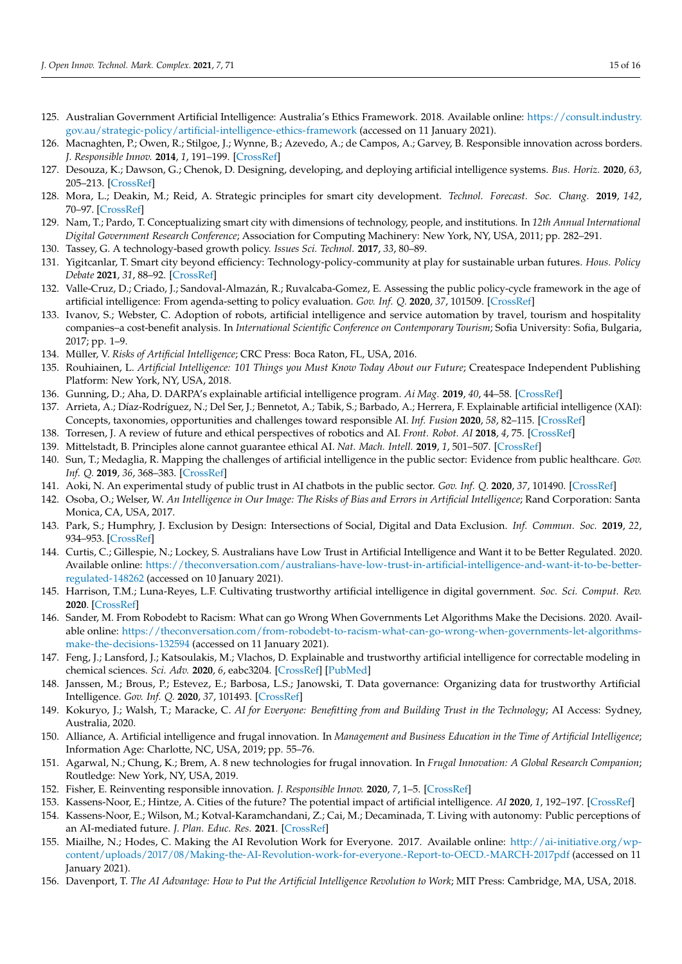- <span id="page-14-0"></span>125. Australian Government Artificial Intelligence: Australia's Ethics Framework. 2018. Available online: [https://consult.industry.](https://consult.industry.gov.au/strategic-policy/artificial-intelligence-ethics-framework) [gov.au/strategic-policy/artificial-intelligence-ethics-framework](https://consult.industry.gov.au/strategic-policy/artificial-intelligence-ethics-framework) (accessed on 11 January 2021).
- <span id="page-14-1"></span>126. Macnaghten, P.; Owen, R.; Stilgoe, J.; Wynne, B.; Azevedo, A.; de Campos, A.; Garvey, B. Responsible innovation across borders. *J. Responsible Innov.* **2014**, *1*, 191–199. [\[CrossRef\]](http://doi.org/10.1080/23299460.2014.922249)
- <span id="page-14-2"></span>127. Desouza, K.; Dawson, G.; Chenok, D. Designing, developing, and deploying artificial intelligence systems. *Bus. Horiz.* **2020**, *63*, 205–213. [\[CrossRef\]](http://doi.org/10.1016/j.bushor.2019.11.004)
- <span id="page-14-3"></span>128. Mora, L.; Deakin, M.; Reid, A. Strategic principles for smart city development. *Technol. Forecast. Soc. Chang.* **2019**, *142*, 70–97. [\[CrossRef\]](http://doi.org/10.1016/j.techfore.2018.07.035)
- <span id="page-14-4"></span>129. Nam, T.; Pardo, T. Conceptualizing smart city with dimensions of technology, people, and institutions. In *12th Annual International Digital Government Research Conference*; Association for Computing Machinery: New York, NY, USA, 2011; pp. 282–291.
- 130. Tassey, G. A technology-based growth policy. *Issues Sci. Technol.* **2017**, *33*, 80–89.
- <span id="page-14-5"></span>131. Yigitcanlar, T. Smart city beyond efficiency: Technology-policy-community at play for sustainable urban futures. *Hous. Policy Debate* **2021**, *31*, 88–92. [\[CrossRef\]](http://doi.org/10.1080/10511482.2020.1846885)
- <span id="page-14-6"></span>132. Valle-Cruz, D.; Criado, J.; Sandoval-Almazán, R.; Ruvalcaba-Gomez, E. Assessing the public policy-cycle framework in the age of artificial intelligence: From agenda-setting to policy evaluation. *Gov. Inf. Q.* **2020**, *37*, 101509. [\[CrossRef\]](http://doi.org/10.1016/j.giq.2020.101509)
- <span id="page-14-7"></span>133. Ivanov, S.; Webster, C. Adoption of robots, artificial intelligence and service automation by travel, tourism and hospitality companies–a cost-benefit analysis. In *International Scientific Conference on Contemporary Tourism*; Sofia University: Sofia, Bulgaria, 2017; pp. 1–9.
- <span id="page-14-8"></span>134. Müller, V. *Risks of Artificial Intelligence*; CRC Press: Boca Raton, FL, USA, 2016.
- <span id="page-14-9"></span>135. Rouhiainen, L. *Artificial Intelligence: 101 Things you Must Know Today About our Future*; Createspace Independent Publishing Platform: New York, NY, USA, 2018.
- <span id="page-14-10"></span>136. Gunning, D.; Aha, D. DARPA's explainable artificial intelligence program. *Ai Mag.* **2019**, *40*, 44–58. [\[CrossRef\]](http://doi.org/10.1609/aimag.v40i2.2850)
- <span id="page-14-11"></span>137. Arrieta, A.; Díaz-Rodríguez, N.; Del Ser, J.; Bennetot, A.; Tabik, S.; Barbado, A.; Herrera, F. Explainable artificial intelligence (XAI): Concepts, taxonomies, opportunities and challenges toward responsible AI. *Inf. Fusion* **2020**, *58*, 82–115. [\[CrossRef\]](http://doi.org/10.1016/j.inffus.2019.12.012)
- <span id="page-14-12"></span>138. Torresen, J. A review of future and ethical perspectives of robotics and AI. *Front. Robot. AI* **2018**, *4*, 75. [\[CrossRef\]](http://doi.org/10.3389/frobt.2017.00075)
- <span id="page-14-13"></span>139. Mittelstadt, B. Principles alone cannot guarantee ethical AI. *Nat. Mach. Intell.* **2019**, *1*, 501–507. [\[CrossRef\]](http://doi.org/10.1038/s42256-019-0114-4)
- <span id="page-14-14"></span>140. Sun, T.; Medaglia, R. Mapping the challenges of artificial intelligence in the public sector: Evidence from public healthcare. *Gov. Inf. Q.* **2019**, *36*, 368–383. [\[CrossRef\]](http://doi.org/10.1016/j.giq.2018.09.008)
- <span id="page-14-15"></span>141. Aoki, N. An experimental study of public trust in AI chatbots in the public sector. *Gov. Inf. Q.* **2020**, *37*, 101490. [\[CrossRef\]](http://doi.org/10.1016/j.giq.2020.101490)
- <span id="page-14-16"></span>142. Osoba, O.; Welser, W. *An Intelligence in Our Image: The Risks of Bias and Errors in Artificial Intelligence*; Rand Corporation: Santa Monica, CA, USA, 2017.
- <span id="page-14-17"></span>143. Park, S.; Humphry, J. Exclusion by Design: Intersections of Social, Digital and Data Exclusion. *Inf. Commun. Soc.* **2019**, *22*, 934–953. [\[CrossRef\]](http://doi.org/10.1080/1369118X.2019.1606266)
- 144. Curtis, C.; Gillespie, N.; Lockey, S. Australians have Low Trust in Artificial Intelligence and Want it to be Better Regulated. 2020. Available online: [https://theconversation.com/australians-have-low-trust-in-artificial-intelligence-and-want-it-to-be-better](https://theconversation.com/australians-have-low-trust-in-artificial-intelligence-and-want-it-to-be-better-regulated-148262)[regulated-148262](https://theconversation.com/australians-have-low-trust-in-artificial-intelligence-and-want-it-to-be-better-regulated-148262) (accessed on 10 January 2021).
- 145. Harrison, T.M.; Luna-Reyes, L.F. Cultivating trustworthy artificial intelligence in digital government. *Soc. Sci. Comput. Rev.* **2020**. [\[CrossRef\]](http://doi.org/10.1177/0894439320980122)
- <span id="page-14-18"></span>146. Sander, M. From Robodebt to Racism: What can go Wrong When Governments Let Algorithms Make the Decisions. 2020. Available online: [https://theconversation.com/from-robodebt-to-racism-what-can-go-wrong-when-governments-let-algorithms](https://theconversation.com/from-robodebt-to-racism-what-can-go-wrong-when-governments-let-algorithms-make-the-decisions-132594)[make-the-decisions-132594](https://theconversation.com/from-robodebt-to-racism-what-can-go-wrong-when-governments-let-algorithms-make-the-decisions-132594) (accessed on 11 January 2021).
- <span id="page-14-19"></span>147. Feng, J.; Lansford, J.; Katsoulakis, M.; Vlachos, D. Explainable and trustworthy artificial intelligence for correctable modeling in chemical sciences. *Sci. Adv.* **2020**, *6*, eabc3204. [\[CrossRef\]](http://doi.org/10.1126/sciadv.abc3204) [\[PubMed\]](http://www.ncbi.nlm.nih.gov/pubmed/33055163)
- 148. Janssen, M.; Brous, P.; Estevez, E.; Barbosa, L.S.; Janowski, T. Data governance: Organizing data for trustworthy Artificial Intelligence. *Gov. Inf. Q.* **2020**, *37*, 101493. [\[CrossRef\]](http://doi.org/10.1016/j.giq.2020.101493)
- <span id="page-14-20"></span>149. Kokuryo, J.; Walsh, T.; Maracke, C. *AI for Everyone: Benefitting from and Building Trust in the Technology*; AI Access: Sydney, Australia, 2020.
- <span id="page-14-21"></span>150. Alliance, A. Artificial intelligence and frugal innovation. In *Management and Business Education in the Time of Artificial Intelligence*; Information Age: Charlotte, NC, USA, 2019; pp. 55–76.
- <span id="page-14-22"></span>151. Agarwal, N.; Chung, K.; Brem, A. 8 new technologies for frugal innovation. In *Frugal Innovation: A Global Research Companion*; Routledge: New York, NY, USA, 2019.
- <span id="page-14-23"></span>152. Fisher, E. Reinventing responsible innovation. *J. Responsible Innov.* **2020**, *7*, 1–5. [\[CrossRef\]](http://doi.org/10.1080/23299460.2020.1712537)
- <span id="page-14-24"></span>153. Kassens-Noor, E.; Hintze, A. Cities of the future? The potential impact of artificial intelligence. *AI* **2020**, *1*, 192–197. [\[CrossRef\]](http://doi.org/10.3390/ai1020012)
- <span id="page-14-25"></span>154. Kassens-Noor, E.; Wilson, M.; Kotval-Karamchandani, Z.; Cai, M.; Decaminada, T. Living with autonomy: Public perceptions of an AI-mediated future. *J. Plan. Educ. Res.* **2021**. [\[CrossRef\]](http://doi.org/10.1177/0739456X20984529)
- <span id="page-14-26"></span>155. Miailhe, N.; Hodes, C. Making the AI Revolution Work for Everyone. 2017. Available online: [http://ai-initiative.org/wp](http://ai-initiative.org/wp-content/uploads/2017/08/Making-the-AI-Revolution-work-for-everyone.-Report-to-OECD.-MARCH-2017pdf)[content/uploads/2017/08/Making-the-AI-Revolution-work-for-everyone.-Report-to-OECD.-MARCH-2017pdf](http://ai-initiative.org/wp-content/uploads/2017/08/Making-the-AI-Revolution-work-for-everyone.-Report-to-OECD.-MARCH-2017pdf) (accessed on 11 January 2021).
- <span id="page-14-27"></span>156. Davenport, T. *The AI Advantage: How to Put the Artificial Intelligence Revolution to Work*; MIT Press: Cambridge, MA, USA, 2018.